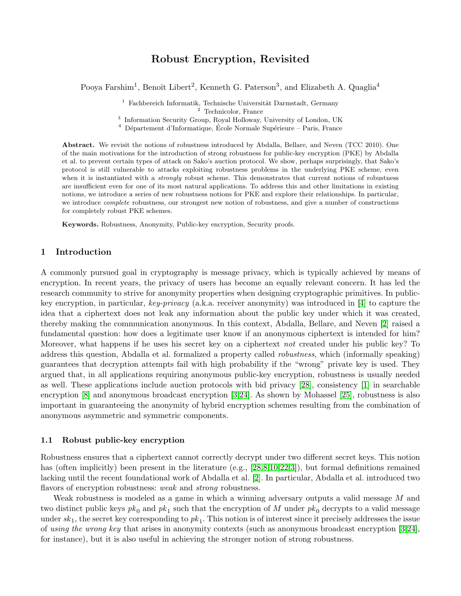# Robust Encryption, Revisited

<span id="page-0-0"></span>Pooya Farshim<sup>1</sup>, Benoît Libert<sup>2</sup>, Kenneth G. Paterson<sup>3</sup>, and Elizabeth A. Quaglia<sup>4</sup>

 $1$  Fachbereich Informatik, Technische Universität Darmstadt, Germany

<sup>2</sup> Technicolor, France

<sup>3</sup> Information Security Group, Royal Holloway, University of London, UK

 $4$  Département d'Informatique, École Normale Supérieure – Paris, France

Abstract. We revisit the notions of robustness introduced by Abdalla, Bellare, and Neven (TCC 2010). One of the main motivations for the introduction of strong robustness for public-key encryption (PKE) by Abdalla et al. to prevent certain types of attack on Sako's auction protocol. We show, perhaps surprisingly, that Sako's protocol is still vulnerable to attacks exploiting robustness problems in the underlying PKE scheme, even when it is instantiated with a *strongly* robust scheme. This demonstrates that current notions of robustness are insufficient even for one of its most natural applications. To address this and other limitations in existing notions, we introduce a series of new robustness notions for PKE and explore their relationships. In particular, we introduce *complete* robustness, our strongest new notion of robustness, and give a number of constructions for completely robust PKE schemes.

Keywords. Robustness, Anonymity, Public-key encryption, Security proofs.

### 1 Introduction

A commonly pursued goal in cryptography is message privacy, which is typically achieved by means of encryption. In recent years, the privacy of users has become an equally relevant concern. It has led the research community to strive for anonymity properties when designing cryptographic primitives. In publickey encryption, in particular,  $key\text{-}privacy$  (a.k.a. receiver anonymity) was introduced in [\[4\]](#page-12-0) to capture the idea that a ciphertext does not leak any information about the public key under which it was created, thereby making the communication anonymous. In this context, Abdalla, Bellare, and Neven [\[2\]](#page-12-1) raised a fundamental question: how does a legitimate user know if an anonymous ciphertext is intended for him? Moreover, what happens if he uses his secret key on a ciphertext not created under his public key? To address this question, Abdalla et al. formalized a property called robustness, which (informally speaking) guarantees that decryption attempts fail with high probability if the "wrong" private key is used. They argued that, in all applications requiring anonymous public-key encryption, robustness is usually needed as well. These applications include auction protocols with bid privacy [\[28\]](#page-13-0), consistency [\[1\]](#page-12-2) in searchable encryption [\[8\]](#page-12-3) and anonymous broadcast encryption [\[3,](#page-12-4)[24\]](#page-13-1). As shown by Mohassel [\[25\]](#page-13-2), robustness is also important in guaranteeing the anonymity of hybrid encryption schemes resulting from the combination of anonymous asymmetric and symmetric components.

#### 1.1 Robust public-key encryption

Robustness ensures that a ciphertext cannot correctly decrypt under two different secret keys. This notion has (often implicitly) been present in the literature (e.g., [\[28,](#page-13-0)[8,](#page-12-3)[10,](#page-12-5)[22,](#page-13-3)[3\]](#page-12-4)), but formal definitions remained lacking until the recent foundational work of Abdalla et al. [\[2\]](#page-12-1). In particular, Abdalla et al. introduced two flavors of encryption robustness: weak and *strong* robustness.

Weak robustness is modeled as a game in which a winning adversary outputs a valid message M and two distinct public keys  $pk_0$  and  $pk_1$  such that the encryption of M under  $pk_0$  decrypts to a valid message under  $sk_1$ , the secret key corresponding to  $pk_1$ . This notion is of interest since it precisely addresses the issue of using the wrong key that arises in anonymity contexts (such as anonymous broadcast encryption [\[3,](#page-12-4)[24\]](#page-13-1), for instance), but it is also useful in achieving the stronger notion of strong robustness.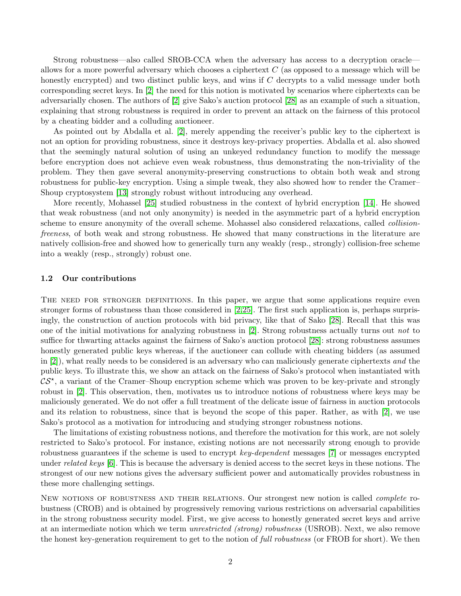<span id="page-1-0"></span>Strong robustness—also called SROB-CCA when the adversary has access to a decryption oracle allows for a more powerful adversary which chooses a ciphertext C (as opposed to a message which will be honestly encrypted) and two distinct public keys, and wins if C decrypts to a valid message under both corresponding secret keys. In [\[2\]](#page-12-1) the need for this notion is motivated by scenarios where ciphertexts can be adversarially chosen. The authors of [\[2\]](#page-12-1) give Sako's auction protocol [\[28\]](#page-13-0) as an example of such a situation, explaining that strong robustness is required in order to prevent an attack on the fairness of this protocol by a cheating bidder and a colluding auctioneer.

As pointed out by Abdalla et al. [\[2\]](#page-12-1), merely appending the receiver's public key to the ciphertext is not an option for providing robustness, since it destroys key-privacy properties. Abdalla et al. also showed that the seemingly natural solution of using an unkeyed redundancy function to modify the message before encryption does not achieve even weak robustness, thus demonstrating the non-triviality of the problem. They then gave several anonymity-preserving constructions to obtain both weak and strong robustness for public-key encryption. Using a simple tweak, they also showed how to render the Cramer– Shoup cryptosystem [\[13\]](#page-12-6) strongly robust without introducing any overhead.

More recently, Mohassel [\[25\]](#page-13-2) studied robustness in the context of hybrid encryption [\[14\]](#page-12-7). He showed that weak robustness (and not only anonymity) is needed in the asymmetric part of a hybrid encryption scheme to ensure anonymity of the overall scheme. Mohassel also considered relaxations, called *collision*freeness, of both weak and strong robustness. He showed that many constructions in the literature are natively collision-free and showed how to generically turn any weakly (resp., strongly) collision-free scheme into a weakly (resp., strongly) robust one.

#### 1.2 Our contributions

THE NEED FOR STRONGER DEFINITIONS. In this paper, we argue that some applications require even stronger forms of robustness than those considered in [\[2](#page-12-1)[,25\]](#page-13-2). The first such application is, perhaps surprisingly, the construction of auction protocols with bid privacy, like that of Sako [\[28\]](#page-13-0). Recall that this was one of the initial motivations for analyzing robustness in [\[2\]](#page-12-1). Strong robustness actually turns out not to suffice for thwarting attacks against the fairness of Sako's auction protocol [\[28\]](#page-13-0): strong robustness assumes honestly generated public keys whereas, if the auctioneer can collude with cheating bidders (as assumed in [\[2\]](#page-12-1)), what really needs to be considered is an adversary who can maliciously generate ciphertexts and the public keys. To illustrate this, we show an attack on the fairness of Sako's protocol when instantiated with  $\mathcal{CS}^*$ , a variant of the Cramer–Shoup encryption scheme which was proven to be key-private and strongly robust in [\[2\]](#page-12-1). This observation, then, motivates us to introduce notions of robustness where keys may be maliciously generated. We do not offer a full treatment of the delicate issue of fairness in auction protocols and its relation to robustness, since that is beyond the scope of this paper. Rather, as with [\[2\]](#page-12-1), we use Sako's protocol as a motivation for introducing and studying stronger robustness notions.

The limitations of existing robustness notions, and therefore the motivation for this work, are not solely restricted to Sako's protocol. For instance, existing notions are not necessarily strong enough to provide robustness guarantees if the scheme is used to encrypt key-dependent messages [\[7\]](#page-12-8) or messages encrypted under related keys [\[6\]](#page-12-9). This is because the adversary is denied access to the secret keys in these notions. The strongest of our new notions gives the adversary sufficient power and automatically provides robustness in these more challenging settings.

NEW NOTIONS OF ROBUSTNESS AND THEIR RELATIONS. Our strongest new notion is called *complete* robustness (CROB) and is obtained by progressively removing various restrictions on adversarial capabilities in the strong robustness security model. First, we give access to honestly generated secret keys and arrive at an intermediate notion which we term unrestricted (strong) robustness (USROB). Next, we also remove the honest key-generation requirement to get to the notion of *full robustness* (or FROB for short). We then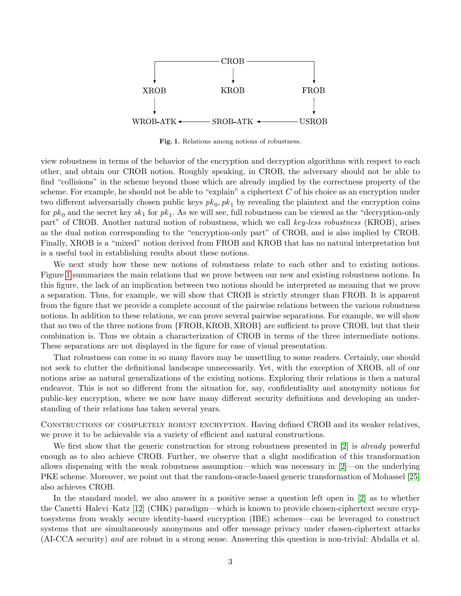<span id="page-2-1"></span>

<span id="page-2-0"></span>Fig. 1. Relations among notions of robustness.

view robustness in terms of the behavior of the encryption and decryption algorithms with respect to each other, and obtain our CROB notion. Roughly speaking, in CROB, the adversary should not be able to find "collisions" in the scheme beyond those which are already implied by the correctness property of the scheme. For example, he should not be able to "explain" a ciphertext  $C$  of his choice as an encryption under two different adversarially chosen public keys  $pk_0$ ,  $pk_1$  by revealing the plaintext and the encryption coins for  $pk_0$  and the secret key  $sk_1$  for  $pk_1$ . As we will see, full robustness can be viewed as the "decryption-only part" of CROB. Another natural notion of robustness, which we call key-less robustness (KROB), arises as the dual notion corresponding to the "encryption-only part" of CROB, and is also implied by CROB. Finally, XROB is a "mixed" notion derived from FROB and KROB that has no natural interpretation but is a useful tool in establishing results about these notions.

We next study how these new notions of robustness relate to each other and to existing notions. Figure [1](#page-2-0) summarizes the main relations that we prove between our new and existing robustness notions. In this figure, the lack of an implication between two notions should be interpreted as meaning that we prove a separation. Thus, for example, we will show that CROB is strictly stronger than FROB. It is apparent from the figure that we provide a complete account of the pairwise relations between the various robustness notions. In addition to these relations, we can prove several pairwise separations. For example, we will show that no two of the three notions from {FROB, KROB, XROB} are sufficient to prove CROB, but that their combination is. Thus we obtain a characterization of CROB in terms of the three intermediate notions. These separations are not displayed in the figure for ease of visual presentation.

That robustness can come in so many flavors may be unsettling to some readers. Certainly, one should not seek to clutter the definitional landscape unnecessarily. Yet, with the exception of XROB, all of our notions arise as natural generalizations of the existing notions. Exploring their relations is then a natural endeavor. This is not so different from the situation for, say, confidentiality and anonymity notions for public-key encryption, where we now have many different security definitions and developing an understanding of their relations has taken several years.

CONSTRUCTIONS OF COMPLETELY ROBUST ENCRYPTION. Having defined CROB and its weaker relatives, we prove it to be achievable via a variety of efficient and natural constructions.

We first show that the generic construction for strong robustness presented in [\[2\]](#page-12-1) is *already* powerful enough as to also achieve CROB. Further, we observe that a slight modification of this transformation allows dispensing with the weak robustness assumption—which was necessary in [\[2\]](#page-12-1)—on the underlying PKE scheme. Moreover, we point out that the random-oracle-based generic transformation of Mohassel [\[25\]](#page-13-2) also achieves CROB.

In the standard model, we also answer in a positive sense a question left open in [\[2\]](#page-12-1) as to whether the Canetti–Halevi–Katz [\[12\]](#page-12-10) (CHK) paradigm—which is known to provide chosen-ciphertext secure cryptosystems from weakly secure identity-based encryption (IBE) schemes—can be leveraged to construct systems that are simultaneously anonymous and offer message privacy under chosen-ciphertext attacks (AI-CCA security) and are robust in a strong sense. Answering this question is non-trivial: Abdalla et al.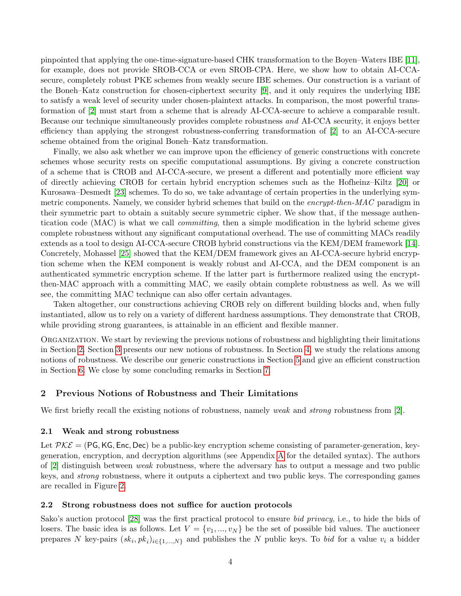<span id="page-3-1"></span>pinpointed that applying the one-time-signature-based CHK transformation to the Boyen–Waters IBE [\[11\]](#page-12-11), for example, does not provide SROB-CCA or even SROB-CPA. Here, we show how to obtain AI-CCAsecure, completely robust PKE schemes from weakly secure IBE schemes. Our construction is a variant of the Boneh–Katz construction for chosen-ciphertext security [\[9\]](#page-12-12), and it only requires the underlying IBE to satisfy a weak level of security under chosen-plaintext attacks. In comparison, the most powerful transformation of [\[2\]](#page-12-1) must start from a scheme that is already AI-CCA-secure to achieve a comparable result. Because our technique simultaneously provides complete robustness and AI-CCA security, it enjoys better efficiency than applying the strongest robustness-conferring transformation of [\[2\]](#page-12-1) to an AI-CCA-secure scheme obtained from the original Boneh–Katz transformation.

Finally, we also ask whether we can improve upon the efficiency of generic constructions with concrete schemes whose security rests on specific computational assumptions. By giving a concrete construction of a scheme that is CROB and AI-CCA-secure, we present a different and potentially more efficient way of directly achieving CROB for certain hybrid encryption schemes such as the Hofheinz–Kiltz [\[20\]](#page-12-13) or Kurosawa–Desmedt [\[23\]](#page-13-4) schemes. To do so, we take advantage of certain properties in the underlying symmetric components. Namely, we consider hybrid schemes that build on the encrypt-then-MAC paradigm in their symmetric part to obtain a suitably secure symmetric cipher. We show that, if the message authentication code (MAC) is what we call committing, then a simple modification in the hybrid scheme gives complete robustness without any significant computational overhead. The use of committing MACs readily extends as a tool to design AI-CCA-secure CROB hybrid constructions via the KEM/DEM framework [\[14\]](#page-12-7). Concretely, Mohassel [\[25\]](#page-13-2) showed that the KEM/DEM framework gives an AI-CCA-secure hybrid encryption scheme when the KEM component is weakly robust and AI-CCA, and the DEM component is an authenticated symmetric encryption scheme. If the latter part is furthermore realized using the encryptthen-MAC approach with a committing MAC, we easily obtain complete robustness as well. As we will see, the committing MAC technique can also offer certain advantages.

Taken altogether, our constructions achieving CROB rely on different building blocks and, when fully instantiated, allow us to rely on a variety of different hardness assumptions. They demonstrate that CROB, while providing strong guarantees, is attainable in an efficient and flexible manner.

Organization. We start by reviewing the previous notions of robustness and highlighting their limitations in Section [2.](#page-3-0) Section [3](#page-4-0) presents our new notions of robustness. In Section [4,](#page-6-0) we study the relations among notions of robustness. We describe our generic constructions in Section [5](#page-8-0) and give an efficient construction in Section [6.](#page-10-0) We close by some concluding remarks in Section [7.](#page-11-0)

### <span id="page-3-0"></span>2 Previous Notions of Robustness and Their Limitations

We first briefly recall the existing notions of robustness, namely *weak* and *strong* robustness from [\[2\]](#page-12-1).

#### 2.1 Weak and strong robustness

Let  $PKE = (PG, KG, Enc, Dec)$  be a public-key encryption scheme consisting of parameter-generation, keygeneration, encryption, and decryption algorithms (see Appendix [A](#page-13-5) for the detailed syntax). The authors of [\[2\]](#page-12-1) distinguish between weak robustness, where the adversary has to output a message and two public keys, and strong robustness, where it outputs a ciphertext and two public keys. The corresponding games are recalled in Figure [2.](#page-4-1)

### <span id="page-3-2"></span>2.2 Strong robustness does not suffice for auction protocols

Sako's auction protocol [\[28\]](#page-13-0) was the first practical protocol to ensure bid privacy, i.e., to hide the bids of losers. The basic idea is as follows. Let  $V = \{v_1, ..., v_N\}$  be the set of possible bid values. The auctioneer prepares N key-pairs  $(sk_i, pk_i)_{i \in \{1,...,N\}}$  and publishes the N public keys. To bid for a value  $v_i$  a bidder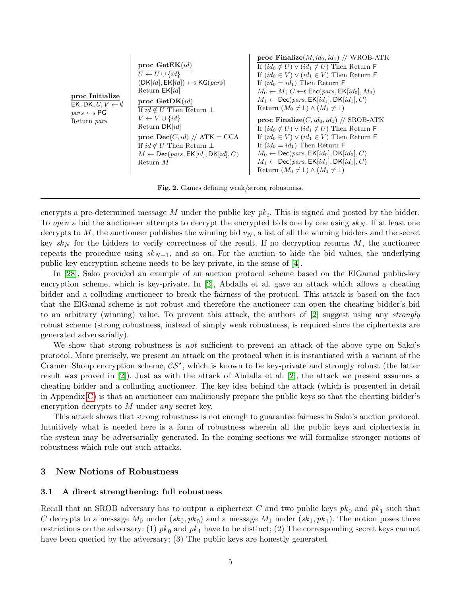<span id="page-4-2"></span>

|                                     |                                                                                                                                                                                                                           | <b>proc Finalize</b> $(M, id_0, id_1)$ // WROB-ATK                                                                                                                                                                                                                                        |
|-------------------------------------|---------------------------------------------------------------------------------------------------------------------------------------------------------------------------------------------------------------------------|-------------------------------------------------------------------------------------------------------------------------------------------------------------------------------------------------------------------------------------------------------------------------------------------|
|                                     | proc $\text{GetEK}(id)$                                                                                                                                                                                                   | If $(id_0 \notin U) \vee (id_1 \notin U)$ Then Return F                                                                                                                                                                                                                                   |
|                                     | $U \leftarrow U \cup \{id\}$                                                                                                                                                                                              | If $(id_0 \in V) \vee (id_1 \in V)$ Then Return F                                                                                                                                                                                                                                         |
|                                     | $(DK[id], EK[id]) \leftarrow \$ KG( <i>pars</i> )                                                                                                                                                                         | If $(id_0 = id_1)$ Then Return F                                                                                                                                                                                                                                                          |
|                                     | Return $EK(id]$                                                                                                                                                                                                           | $M_0 \leftarrow M$ ; $C \leftarrow$ Enc(pars, EK[id <sub>0</sub> ], $M_0$ )                                                                                                                                                                                                               |
| proc Initialize                     | proc $\text{GetDK}(id)$                                                                                                                                                                                                   | $M_1 \leftarrow \textsf{Dec}(\textit{pars}, \textsf{EK}[id_1], \textsf{DK}[id_1], C)$                                                                                                                                                                                                     |
| $EK, DK, U, V \leftarrow \emptyset$ | If $id \notin U$ Then Return $\perp$                                                                                                                                                                                      | Return $(M_0 \neq \perp) \wedge (M_1 \neq \perp)$                                                                                                                                                                                                                                         |
| $pars \leftarrow$ PG<br>Return pars | $V \leftarrow V \cup \{id\}$<br>Return $DK[i]$<br><b>proc</b> $\text{Dec}(C, id)$ // ATK = CCA<br>If $id \notin U$ Then Return $\perp$<br>$M \leftarrow \textsf{Dec}(\textit{pars}, \textsf{EK}[id], \textsf{DK}[id], C)$ | proc Finalize( $C, id_0, id_1$ ) // SROB-ATK<br>If $(id_0 \notin U) \vee (id_1 \notin U)$ Then Return F<br>If $(id_0 \in V) \vee (id_1 \in V)$ Then Return F<br>If $(id_0 = id_1)$ Then Return F<br>$M_0 \leftarrow \textsf{Dec}(\textit{pars}, \textsf{EK}[id_0], \textsf{DK}[id_0], C)$ |
|                                     | Return $M$                                                                                                                                                                                                                | $M_1 \leftarrow \textsf{Dec}(\textit{pars}, \textsf{EK}[id_1], \textsf{DK}[id_1], C)$                                                                                                                                                                                                     |
|                                     |                                                                                                                                                                                                                           | Return $(M_0 \neq \perp) \wedge (M_1 \neq \perp)$                                                                                                                                                                                                                                         |
|                                     |                                                                                                                                                                                                                           |                                                                                                                                                                                                                                                                                           |

<span id="page-4-1"></span>Fig. 2. Games defining weak/strong robustness.

encrypts a pre-determined message M under the public key  $pk_i$ . This is signed and posted by the bidder. To open a bid the auctioneer attempts to decrypt the encrypted bids one by one using  $sk_N$ . If at least one decrypts to  $M$ , the auctioneer publishes the winning bid  $v<sub>N</sub>$ , a list of all the winning bidders and the secret key  $sk_N$  for the bidders to verify correctness of the result. If no decryption returns M, the auctioneer repeats the procedure using  $sk_{N-1}$ , and so on. For the auction to hide the bid values, the underlying public-key encryption scheme needs to be key-private, in the sense of [\[4\]](#page-12-0).

In [\[28\]](#page-13-0), Sako provided an example of an auction protocol scheme based on the ElGamal public-key encryption scheme, which is key-private. In [\[2\]](#page-12-1), Abdalla et al. gave an attack which allows a cheating bidder and a colluding auctioneer to break the fairness of the protocol. This attack is based on the fact that the ElGamal scheme is not robust and therefore the auctioneer can open the cheating bidder's bid to an arbitrary (winning) value. To prevent this attack, the authors of [\[2\]](#page-12-1) suggest using any strongly robust scheme (strong robustness, instead of simply weak robustness, is required since the ciphertexts are generated adversarially).

We show that strong robustness is *not* sufficient to prevent an attack of the above type on Sako's protocol. More precisely, we present an attack on the protocol when it is instantiated with a variant of the Cramer–Shoup encryption scheme,  $CS^*$ , which is known to be key-private and strongly robust (the latter result was proved in [\[2\]](#page-12-1)). Just as with the attack of Abdalla et al. [\[2\]](#page-12-1), the attack we present assumes a cheating bidder and a colluding auctioneer. The key idea behind the attack (which is presented in detail in Appendix [C\)](#page-15-0) is that an auctioneer can maliciously prepare the public keys so that the cheating bidder's encryption decrypts to M under any secret key.

This attack shows that strong robustness is not enough to guarantee fairness in Sako's auction protocol. Intuitively what is needed here is a form of robustness wherein all the public keys and ciphertexts in the system may be adversarially generated. In the coming sections we will formalize stronger notions of robustness which rule out such attacks.

### <span id="page-4-0"></span>3 New Notions of Robustness

#### 3.1 A direct strengthening: full robustness

Recall that an SROB adversary has to output a ciphertext C and two public keys  $pk_0$  and  $pk_1$  such that C decrypts to a message  $M_0$  under  $(sk_0, pk_0)$  and a message  $M_1$  under  $(sk_1, pk_1)$ . The notion poses three restrictions on the adversary: (1)  $pk_0$  and  $pk_1$  have to be distinct; (2) The corresponding secret keys cannot have been queried by the adversary; (3) The public keys are honestly generated.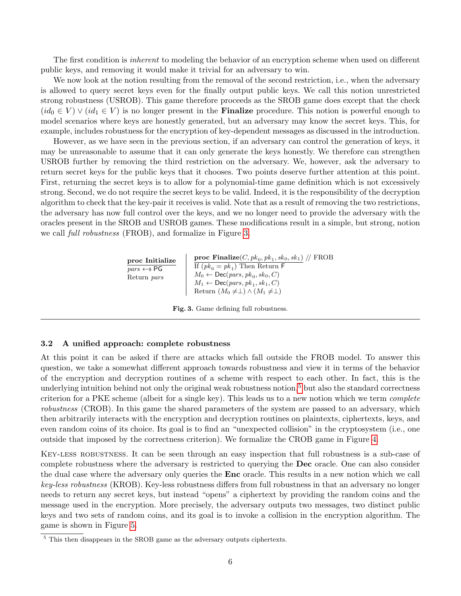The first condition is *inherent* to modeling the behavior of an encryption scheme when used on different public keys, and removing it would make it trivial for an adversary to win.

We now look at the notion resulting from the removal of the second restriction, i.e., when the adversary is allowed to query secret keys even for the finally output public keys. We call this notion unrestricted strong robustness (USROB). This game therefore proceeds as the SROB game does except that the check  $(id_0 \in V) \vee (id_1 \in V)$  is no longer present in the **Finalize** procedure. This notion is powerful enough to model scenarios where keys are honestly generated, but an adversary may know the secret keys. This, for example, includes robustness for the encryption of key-dependent messages as discussed in the introduction.

However, as we have seen in the previous section, if an adversary can control the generation of keys, it may be unreasonable to assume that it can only generate the keys honestly. We therefore can strengthen USROB further by removing the third restriction on the adversary. We, however, ask the adversary to return secret keys for the public keys that it chooses. Two points deserve further attention at this point. First, returning the secret keys is to allow for a polynomial-time game definition which is not excessively strong. Second, we do not require the secret keys to be valid. Indeed, it is the responsibility of the decryption algorithm to check that the key-pair it receives is valid. Note that as a result of removing the two restrictions, the adversary has now full control over the keys, and we no longer need to provide the adversary with the oracles present in the SROB and USROB games. These modifications result in a simple, but strong, notion we call full robustness (FROB), and formalize in Figure [3.](#page-5-0)

| proc Initialize      | <b>proc Finalize</b> $(C, pk_0, pk_1, sk_0, sk_1)$ // FROB                    |
|----------------------|-------------------------------------------------------------------------------|
| $pars \leftarrow$ PG | If $(pk_0 = pk_1)$ Then Return F                                              |
| Return pars          | $M_0 \leftarrow \mathsf{Dec}(\textit{pars}, \textit{pk}_0, \textit{sk}_0, C)$ |
|                      | $M_1 \leftarrow \mathsf{Dec}(\textit{pars}, \textit{pk}_1, \textit{sk}_1, C)$ |
|                      | Return $(M_0 \neq \perp) \wedge (M_1 \neq \perp)$                             |

<span id="page-5-0"></span>Fig. 3. Game defining full robustness.

#### 3.2 A unified approach: complete robustness

At this point it can be asked if there are attacks which fall outside the FROB model. To answer this question, we take a somewhat different approach towards robustness and view it in terms of the behavior of the encryption and decryption routines of a scheme with respect to each other. In fact, this is the underlying intuition behind not only the original weak robustness notion,<sup>[5](#page-5-1)</sup> but also the standard correctness criterion for a PKE scheme (albeit for a single key). This leads us to a new notion which we term complete robustness (CROB). In this game the shared parameters of the system are passed to an adversary, which then arbitrarily interacts with the encryption and decryption routines on plaintexts, ciphertexts, keys, and even random coins of its choice. Its goal is to find an "unexpected collision" in the cryptosystem (i.e., one outside that imposed by the correctness criterion). We formalize the CROB game in Figure [4.](#page-6-1)

Key-less robustness. It can be seen through an easy inspection that full robustness is a sub-case of complete robustness where the adversary is restricted to querying the Dec oracle. One can also consider the dual case where the adversary only queries the Enc oracle. This results in a new notion which we call key-less robustness (KROB). Key-less robustness differs from full robustness in that an adversary no longer needs to return any secret keys, but instead "opens" a ciphertext by providing the random coins and the message used in the encryption. More precisely, the adversary outputs two messages, two distinct public keys and two sets of random coins, and its goal is to invoke a collision in the encryption algorithm. The game is shown in Figure [5.](#page-6-2)

<span id="page-5-1"></span><sup>5</sup> This then disappears in the SROB game as the adversary outputs ciphertexts.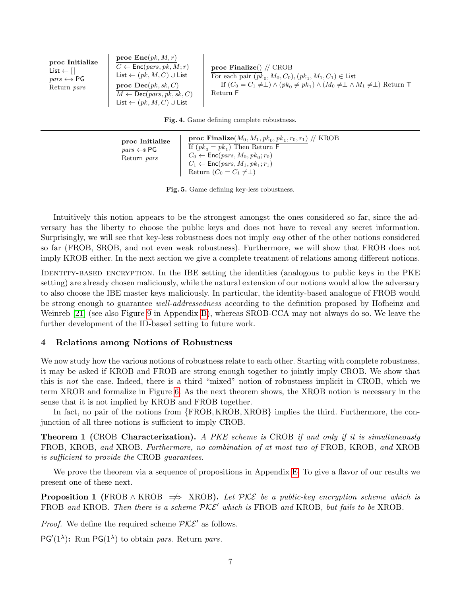<span id="page-6-4"></span>

| proc Initialize<br>List $\leftarrow \lceil \rceil$<br>$pars \leftarrow$ PG<br>Return pars | proc $\text{Enc}(pk, M, r)$<br>$C \leftarrow \mathsf{Enc}(\mathit{pars}, \mathit{pk}, M; r)$<br>List $\leftarrow$ $(pk, M, C) \cup$ List | proc Finalize() // $CROB$<br>For each pair $(pk_0, M_0, C_0), (pk_1, M_1, C_1) \in$ List                               |
|-------------------------------------------------------------------------------------------|------------------------------------------------------------------------------------------------------------------------------------------|------------------------------------------------------------------------------------------------------------------------|
|                                                                                           | proc $\textbf{Dec}(pk, sk, C)$<br>$M \leftarrow \text{Dec}(\text{pars}, \text{pk}, \text{sk}, C)$                                        | If $(C_0 = C_1 \neq \perp) \wedge (pk_0 \neq pk_1) \wedge (M_0 \neq \perp \wedge M_1 \neq \perp)$ Return T<br>Return F |
|                                                                                           | List $\leftarrow$ $(pk, M, C) \cup$ List                                                                                                 |                                                                                                                        |

<span id="page-6-1"></span>Fig. 4. Game defining complete robustness.

| <b>proc Finalize</b> $(M_0, M_1, pk_0, pk_1, r_0, r_1)$ // KROB<br>proc Initialize<br>If $(pk_0 = pk_1)$ Then Return F<br>$pars \leftarrow$ PG<br>$C_0 \leftarrow \mathsf{Enc}(\mathit{pars}, M_0, \mathit{pk}_0; r_0)$<br>Return pars<br>$C_1 \leftarrow \mathsf{Enc}(\mathit{pars}, M_1, \mathit{pk}_1; r_1)$<br>Return $(C_0 = C_1 \neq \perp)$ |  |
|----------------------------------------------------------------------------------------------------------------------------------------------------------------------------------------------------------------------------------------------------------------------------------------------------------------------------------------------------|--|
|----------------------------------------------------------------------------------------------------------------------------------------------------------------------------------------------------------------------------------------------------------------------------------------------------------------------------------------------------|--|

<span id="page-6-2"></span>Fig. 5. Game defining key-less robustness.

Intuitively this notion appears to be the strongest amongst the ones considered so far, since the adversary has the liberty to choose the public keys and does not have to reveal any secret information. Surprisingly, we will see that key-less robustness does not imply any other of the other notions considered so far (FROB, SROB, and not even weak robustness). Furthermore, we will show that FROB does not imply KROB either. In the next section we give a complete treatment of relations among different notions.

IDENTITY-BASED ENCRYPTION. In the IBE setting the identities (analogous to public keys in the PKE setting) are already chosen maliciously, while the natural extension of our notions would allow the adversary to also choose the IBE master keys maliciously. In particular, the identity-based analogue of FROB would be strong enough to guarantee well-addressedness according to the definition proposed by Hofheinz and Weinreb [\[21\]](#page-13-6) (see also Figure [9](#page-15-1) in Appendix [B\)](#page-14-0), whereas SROB-CCA may not always do so. We leave the further development of the ID-based setting to future work.

### <span id="page-6-0"></span>4 Relations among Notions of Robustness

We now study how the various notions of robustness relate to each other. Starting with complete robustness, it may be asked if KROB and FROB are strong enough together to jointly imply CROB. We show that this is not the case. Indeed, there is a third "mixed" notion of robustness implicit in CROB, which we term XROB and formalize in Figure [6.](#page-7-0) As the next theorem shows, the XROB notion is necessary in the sense that it is not implied by KROB and FROB together.

<span id="page-6-3"></span>In fact, no pair of the notions from {FROB, KROB, XROB} implies the third. Furthermore, the conjunction of all three notions is sufficient to imply CROB.

**Theorem 1** (CROB Characterization). A PKE scheme is CROB if and only if it is simultaneously FROB, KROB, and XROB. Furthermore, no combination of at most two of FROB, KROB, and XROB is sufficient to provide the CROB guarantees.

<span id="page-6-5"></span>We prove the theorem via a sequence of propositions in Appendix [E.](#page-17-0) To give a flavor of our results we present one of these next.

**Proposition 1** (FROB ∧ KROB  $\Rightarrow$  XROB). Let PKE be a public-key encryption scheme which is FROB and KROB. Then there is a scheme  $\mathcal{PKE}'$  which is FROB and KROB, but fails to be XROB.

*Proof.* We define the required scheme  $\mathcal{PKE}'$  as follows.

 $PG'(1^{\lambda})$ : Run  $PG(1^{\lambda})$  to obtain pars. Return pars.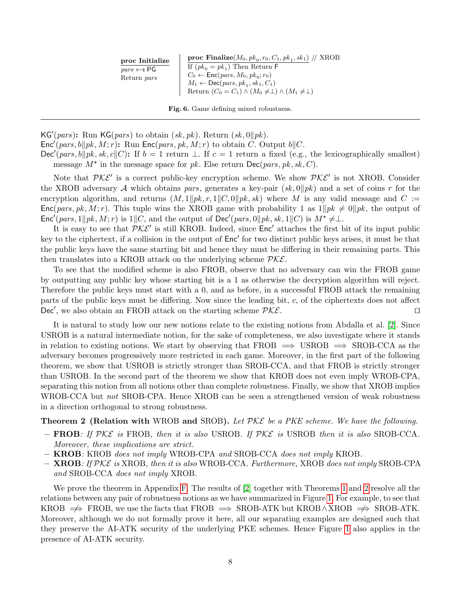<span id="page-7-2"></span>

| proc Initialize        | <b>proc Finalize</b> $(M_0, pk_0, r_0, C_1, pk_1, sk_1)$ // XROB      |  |
|------------------------|-----------------------------------------------------------------------|--|
| $pars \leftarrow$ s PG | If $(pk_0 = pk_1)$ Then Return F                                      |  |
| Return pars            | $C_0 \leftarrow \mathsf{Enc}(\mathit{pars}, M_0, \mathit{pk}_0; r_0)$ |  |
|                        | $M_1 \leftarrow \text{Dec}(pars, pk_1, sk_1, C_1)$                    |  |
|                        | Return $(C_0 = C_1) \wedge (M_0 \neq \perp) \wedge (M_1 \neq \perp)$  |  |

<span id="page-7-0"></span>Fig. 6. Game defining mixed robustness.

 $\mathsf{KG}'(pars)$ : Run  $\mathsf{KG}(pars)$  to obtain  $(sk, pk)$ . Return  $(sk, 0|| pk)$ .

 $\textsf{Enc}(\textit{pars}, \textit{b} || \textit{pk}, M; r)$ : Run  $\textsf{Enc}(\textit{pars}, \textit{pk}, M; r)$  to obtain C. Output  $\textit{b} || C$ .

 $\text{Dec}'(pars, b || pk, sk, c || C)$ : If  $b = 1$  return  $\perp$ . If  $c = 1$  return a fixed (e.g., the lexicographically smallest) message  $M^*$  in the message space for pk. Else return  $\mathsf{Dec}(\textit{pars}, \textit{pk}, \textit{sk}, C)$ .

Note that  $\mathcal{PKE}'$  is a correct public-key encryption scheme. We show  $\mathcal{PKE}'$  is not XROB. Consider the XROB adversary A which obtains pars, generates a key-pair  $(sk, 0||pk)$  and a set of coins r for the encryption algorithm, and returns  $(M, 1||pk, r, 1||C, 0||pk, sk)$  where M is any valid message and  $C :=$  $\textsf{Enc}(\textit{pars}, \textit{pk}, M; r)$ . This tuple wins the XROB game with probability 1 as  $1||\textit{pk} \neq 0||\textit{pk}$ , the output of  $\textsf{Enc}'(pars, 1 \| pk, M; r)$  is  $1 \| C$ , and the output of  $\textsf{Dec}'(pars, 0 \| pk, sk, 1 \| C)$  is  $M^* \neq \perp$ .

It is easy to see that  $\mathcal{PKE}'$  is still KROB. Indeed, since  $Enc'$  attaches the first bit of its input public key to the ciphertext, if a collision in the output of  $Enc'$  for two distinct public keys arises, it must be that the public keys have the same starting bit and hence they must be differing in their remaining parts. This then translates into a KROB attack on the underlying scheme  $PKE$ .

To see that the modified scheme is also FROB, observe that no adversary can win the FROB game by outputting any public key whose starting bit is a 1 as otherwise the decryption algorithm will reject. Therefore the public keys must start with a 0, and as before, in a successful FROB attack the remaining parts of the public keys must be differing. Now since the leading bit, c, of the ciphertexts does not affect Dec', we also obtain an FROB attack on the starting scheme  $\mathcal{PKE}$ .

It is natural to study how our new notions relate to the existing notions from Abdalla et al. [\[2\]](#page-12-1). Since USROB is a natural intermediate notion, for the sake of completeness, we also investigate where it stands in relation to existing notions. We start by observing that  $FROB \implies$  USROB  $\implies$  SROB-CCA as the adversary becomes progressively more restricted in each game. Moreover, in the first part of the following theorem, we show that USROB is strictly stronger than SROB-CCA, and that FROB is strictly stronger than USROB. In the second part of the theorem we show that KROB does not even imply WROB-CPA, separating this notion from all notions other than complete robustness. Finally, we show that XROB implies WROB-CCA but *not* SROB-CPA. Hence XROB can be seen a strengthened version of weak robustness in a direction orthogonal to strong robustness.

### <span id="page-7-1"></span>**Theorem 2 (Relation with WROB and SROB).** Let  $\mathcal{PKE}$  be a PKE scheme. We have the following.

- FROB: If  $PKE$  is FROB, then it is also USROB. If  $PKE$  is USROB then it is also SROB-CCA. Moreover, these implications are strict.
- $-$  KROB: KROB does not imply WROB-CPA and SROB-CCA does not imply KROB.
- $-$  **XROB**: If  $\mathcal{PKE}$  is XROB, then it is also WROB-CCA. Furthermore, XROB does not imply SROB-CPA and SROB-CCA does not imply XROB.

We prove the theorem in Appendix [F.](#page-19-0) The results of [\[2\]](#page-12-1) together with Theorems [1](#page-6-3) and [2](#page-7-1) resolve all the relations between any pair of robustness notions as we have summarized in Figure [1.](#page-2-0) For example, to see that KROB  $\Rightarrow$  FROB, we use the facts that FROB  $\Rightarrow$  SROB-ATK but KROB∧XROB  $\Rightarrow$  SROB-ATK. Moreover, although we do not formally prove it here, all our separating examples are designed such that they preserve the AI-ATK security of the underlying PKE schemes. Hence Figure [1](#page-2-0) also applies in the presence of AI-ATK security.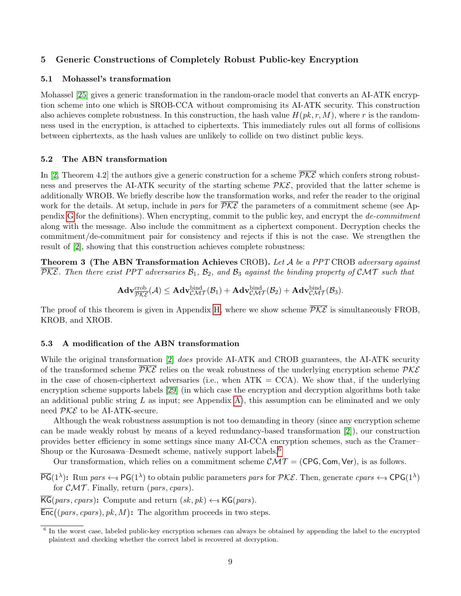### <span id="page-8-2"></span><span id="page-8-0"></span>5 Generic Constructions of Completely Robust Public-key Encryption

#### 5.1 Mohassel's transformation

Mohassel [\[25\]](#page-13-2) gives a generic transformation in the random-oracle model that converts an AI-ATK encryption scheme into one which is SROB-CCA without compromising its AI-ATK security. This construction also achieves complete robustness. In this construction, the hash value  $H(pk, r, M)$ , where r is the randomness used in the encryption, is attached to ciphertexts. This immediately rules out all forms of collisions between ciphertexts, as the hash values are unlikely to collide on two distinct public keys.

#### 5.2 The ABN transformation

In [\[2,](#page-12-1) Theorem 4.2] the authors give a generic construction for a scheme  $\overline{PKE}$  which confers strong robustness and preserves the AI-ATK security of the starting scheme  $\mathcal{PKE}$ , provided that the latter scheme is additionally WROB. We briefly describe how the transformation works, and refer the reader to the original work for the details. At setup, include in pars for  $PKE$  the parameters of a commitment scheme (see Appendix [G](#page-21-0) for the definitions). When encrypting, commit to the public key, and encrypt the de-commitment along with the message. Also include the commitment as a ciphertext component. Decryption checks the commitment/de-commitment pair for consistency and rejects if this is not the case. We strengthen the result of [\[2\]](#page-12-1), showing that this construction achieves complete robustness:

**Theorem 3 (The ABN Transformation Achieves CROB).** Let  $A$  be a PPT CROB adversary against  $\overline{\mathcal{PKE}}$ . Then there exist PPT adversaries  $\mathcal{B}_1$ ,  $\mathcal{B}_2$ , and  $\mathcal{B}_3$  against the binding property of CMT such that

<span id="page-8-3"></span>
$$
\mathbf{Adv}_{\mathcal{PKE}}^{\text{crob}}(\mathcal{A}) \leq \mathbf{Adv}_{\mathcal{CMT}}^{\text{bind}}(\mathcal{B}_1) + \mathbf{Adv}_{\mathcal{CMT}}^{\text{bind}}(\mathcal{B}_2) + \mathbf{Adv}_{\mathcal{CMT}}^{\text{bind}}(\mathcal{B}_3).
$$

The proof of this theorem is given in Appendix [H,](#page-21-1) where we show scheme  $\overline{\mathcal{PKE}}$  is simultaneously FROB, KROB, and XROB.

### 5.3 A modification of the ABN transformation

While the original transformation [\[2\]](#page-12-1) does provide AI-ATK and CROB guarantees, the AI-ATK security of the transformed scheme  $\overline{PKE}$  relies on the weak robustness of the underlying encryption scheme  $\overline{PKE}$ in the case of chosen-ciphertext adversaries (i.e., when  $ATK = CCA$ ). We show that, if the underlying encryption scheme supports labels [\[29\]](#page-13-7) (in which case the encryption and decryption algorithms both take an additional public string L as input; see Appendix [A\)](#page-13-5), this assumption can be eliminated and we only need  $\mathcal{PKE}$  to be AI-ATK-secure.

Although the weak robustness assumption is not too demanding in theory (since any encryption scheme can be made weakly robust by means of a keyed redundancy-based transformation [\[2\]](#page-12-1)), our construction provides better efficiency in some settings since many AI-CCA encryption schemes, such as the Cramer– Shoup or the Kurosawa–Desmedt scheme, natively support labels.<sup>[6](#page-8-1)</sup>

Our transformation, which relies on a commitment scheme  $\mathcal{CMT} = (CPG, Com, Ver)$ , is as follows.

 $\overline{PG}(1^{\lambda})$ : Run pars  $\leftarrow$  PG(1<sup> $\lambda$ </sup>) to obtain public parameters pars for PKE. Then, generate cpars  $\leftarrow$  CPG(1<sup> $\lambda$ </sup>) for  $\mathcal{CMT}$ . Finally, return (*pars*, *cpars*).

 $\overline{\mathsf{KG}}(\textit{pars}, \textit{cparse})$ : Compute and return  $(\textit{sk}, \textit{pk}) \leftarrow \mathsf{sKG}(\textit{pars})$ .

 $\overline{\text{Enc}}((pars, \text{cparse}), \text{pk}, M)$ : The algorithm proceeds in two steps.

<span id="page-8-1"></span><sup>&</sup>lt;sup>6</sup> In the worst case, labeled public-key encryption schemes can always be obtained by appending the label to the encrypted plaintext and checking whether the correct label is recovered at decryption.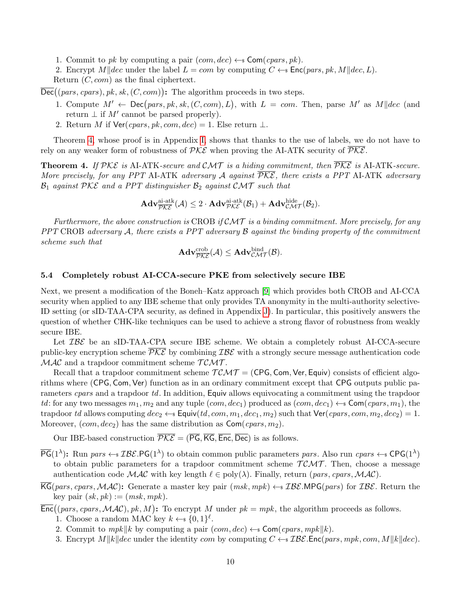<span id="page-9-2"></span>1. Commit to pk by computing a pair  $(com, dec) \leftarrow$  Com $(cparse, pk)$ .

2. Encrypt  $M||dec$  under the label  $L = com$  by computing  $C \leftarrow$  Enc(pars, pk, M||dec, L). Return  $(C, com)$  as the final ciphertext.

 $\overline{\text{Dec}}((pars, cpars), pk, sk, (C, com))$ : The algorithm proceeds in two steps.

- 1. Compute  $M' \leftarrow \text{Dec}(pars, pk, sk, (C, com), L)$ , with  $L = com$ . Then, parse M' as  $M||dec$  (and return  $\perp$  if  $M'$  cannot be parsed properly).
- 2. Return M if  $Ver(cpars, pk, com, dec) = 1$ . Else return ⊥.

Theorem [4,](#page-9-0) whose proof is in Appendix [I,](#page-22-0) shows that thanks to the use of labels, we do not have to rely on any weaker form of robustness of  $\mathcal{PKE}$  when proving the AI-ATK security of  $\overline{\mathcal{PKE}}$ .

**Theorem 4.** If  $\mathcal{PKE}$  is AI-ATK-secure and  $\mathcal{CMT}$  is a hiding commitment, then  $\overline{\mathcal{PKE}}$  is AI-ATK-secure. More precisely, for any PPT AI-ATK adversary A against  $\overline{PKE}$ , there exists a PPT AI-ATK adversary  $B_1$  against PKE and a PPT distinguisher  $B_2$  against CMT such that

$$
\mathbf{Adv}_{\mathcal{PKE}}^{\text{ai-atk}}(\mathcal{A}) \leq 2\cdot \mathbf{Adv}_{\mathcal{PKE}}^{\text{ai-atk}}(\mathcal{B}_1) + \mathbf{Adv}_{\mathcal{CMT}}^{\text{hide}}(\mathcal{B}_2).
$$

Furthermore, the above construction is CROB if  $\mathcal{CMT}$  is a binding commitment. More precisely, for any  $PPT$  CROB adversary A, there exists a PPT adversary  $\beta$  against the binding property of the commitment scheme such that

<span id="page-9-0"></span>
$$
\mathbf{Adv}_{\mathcal{PKE}}^{\text{crob}}(\mathcal{A}) \leq \mathbf{Adv}_{\mathcal{CMT}}^{\text{bind}}(\mathcal{B}).
$$

#### <span id="page-9-1"></span>5.4 Completely robust AI-CCA-secure PKE from selectively secure IBE

Next, we present a modification of the Boneh–Katz approach [\[9\]](#page-12-12) which provides both CROB and AI-CCA security when applied to any IBE scheme that only provides TA anonymity in the multi-authority selective-ID setting (or sID-TAA-CPA security, as defined in Appendix [J\)](#page-24-0). In particular, this positively answers the question of whether CHK-like techniques can be used to achieve a strong flavor of robustness from weakly secure IBE.

Let  $\mathcal{IBE}$  be an sID-TAA-CPA secure IBE scheme. We obtain a completely robust AI-CCA-secure public-key encryption scheme  $\overline{PKE}$  by combining  $\overline{LBE}$  with a strongly secure message authentication code  $\mathcal{MAC}$  and a trapdoor commitment scheme  $\mathcal{TCMT}$ .

Recall that a trapdoor commitment scheme  $TCMT = (CPG, Com, Ver, Equiv)$  consists of efficient algorithms where (CPG, Com, Ver) function as in an ordinary commitment except that CPG outputs public parameters cpars and a trapdoor td. In addition, Equiv allows equivocating a commitment using the trapdoor td: for any two messages  $m_1, m_2$  and any tuple  $(com, dec_1)$  produced as  $(com, dec_1) \leftarrow$  Com(cpars, m<sub>1</sub>), the trapdoor td allows computing  $dec_2 \leftarrow s$  Equiv(td, com,  $m_1, dec_1, m_2$ ) such that Ver(cpars, com,  $m_2, dec_2$ ) = 1. Moreover,  $(com, dec_2)$  has the same distribution as  $Com(cpars, m_2)$ .

Our IBE-based construction  $\overline{\mathcal{PKE}} = (\overline{\mathsf{PG}}, \overline{\mathsf{KG}}, \overline{\mathsf{Enc}}, \overline{\mathsf{Dec}})$  is as follows.

- $\overline{PG}(1^{\lambda})$ : Run pars  $\leftarrow$  *IBE*.PG(1<sup> $\lambda$ </sup>) to obtain common public parameters pars. Also run cpars  $\leftarrow$  s CPG(1<sup> $\lambda$ </sup>) to obtain public parameters for a trapdoor commitment scheme  $TCMT$ . Then, choose a message authentication code MAC with key length  $\ell \in \text{poly}(\lambda)$ . Finally, return (*pars, cpars, MAC*).
- $\mathsf{KG}(pars, cpars, MAC)$ : Generate a master key pair  $(msk, mpk) \leftarrow \mathsf{SZBE}$ .MPG(pars) for  $\mathsf{ZBE}$ . Return the key pair  $(sk, pk) := (msk, mpk)$ .

 $\overline{\text{Enc}}((pars, cpars, MAC), pk, M)$ : To encrypt M under  $pk = mpk$ , the algorithm proceeds as follows.

- 1. Choose a random MAC key  $k \leftarrow s \{0,1\}^{\ell}$ .
- 2. Commit to  $mpk||k$  by computing a pair  $(com, dec) \leftarrow s$  Com(*cpars*,  $mpk||k$ ).
- 3. Encrypt  $M||k||$  dec under the identity com by computing  $C \leftarrow \text{SDE}$ . Enc(pars, mpk, com,  $M||k||$  dec).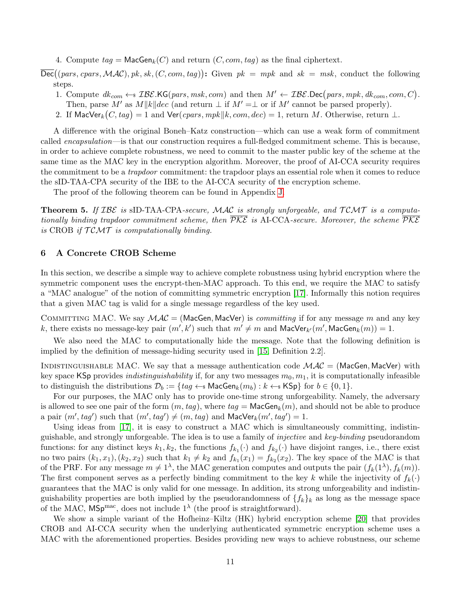<span id="page-10-1"></span>4. Compute  $tag = \text{MacGen}_k(C)$  and return  $(C, com, tag)$  as the final ciphertext.

 $\overline{\text{Dec}}((pars, cpars, MAC), pk, sk, (C, com, tag))$ : Given  $pk = mpk$  and  $sk = msk$ , conduct the following steps.

- 1. Compute  $dk_{com} \leftarrow s \mathcal{IBE}.\mathsf{KG}(pars, msk, com)$  and then  $M' \leftarrow \mathcal{IBE}.\mathsf{Dec}(pars, mpk, dk_{com}, com, C)$ .
- Then, parse M' as  $M||k||dec$  (and return  $\perp$  if  $M' = \perp$  or if M' cannot be parsed properly).
- 2. If  $\mathsf{MacVer}_k(C, tag) = 1$  and  $\mathsf{Ver}(cparse, mpk || k, com, dec) = 1$ , return  $M$ . Otherwise, return  $\bot$ .

A difference with the original Boneh–Katz construction—which can use a weak form of commitment called encapsulation—is that our construction requires a full-fledged commitment scheme. This is because, in order to achieve complete robustness, we need to commit to the master public key of the scheme at the same time as the MAC key in the encryption algorithm. Moreover, the proof of AI-CCA security requires the commitment to be a trapdoor commitment: the trapdoor plays an essential role when it comes to reduce the sID-TAA-CPA security of the IBE to the AI-CCA security of the encryption scheme.

The proof of the following theorem can be found in Appendix [J.](#page-24-0)

<span id="page-10-2"></span>**Theorem 5.** If IBE is sID-TAA-CPA-secure, MAC is strongly unforgeable, and  $TCMT$  is a computationally binding trapdoor commitment scheme, then  $\overline{\mathcal{PKE}}$  is AI-CCA-secure. Moreover, the scheme  $\overline{\mathcal{PKE}}$ is CROB if  $TCMT$  is computationally binding.

#### <span id="page-10-0"></span>6 A Concrete CROB Scheme

In this section, we describe a simple way to achieve complete robustness using hybrid encryption where the symmetric component uses the encrypt-then-MAC approach. To this end, we require the MAC to satisfy a "MAC analogue" of the notion of committing symmetric encryption [\[17\]](#page-12-14). Informally this notion requires that a given MAC tag is valid for a single message regardless of the key used.

COMMITTING MAC. We say  $\mathcal{MAC} = (MacGen, MacVer)$  is *committing* if for any message m and any key k, there exists no message-key pair  $(m', k')$  such that  $m' \neq m$  and  $\mathsf{MacVer}_{k'}(m', \mathsf{MacGen}_k(m)) = 1$ .

We also need the MAC to computationally hide the message. Note that the following definition is implied by the definition of message-hiding security used in [\[15,](#page-12-15) Definition 2.2].

INDISTINGUISHABLE MAC. We say that a message authentication code  $\mathcal{MAC} = (MacGen, MacVer)$  with key space KSp provides *indistinguishability* if, for any two messages  $m_0, m_1$ , it is computationally infeasible to distinguish the distributions  $\mathcal{D}_b := \{tag \leftarrow s \text{ MacGen}_k(m_b) : k \leftarrow s \text{KSp}\}$  for  $b \in \{0, 1\}$ .

For our purposes, the MAC only has to provide one-time strong unforgeability. Namely, the adversary is allowed to see one pair of the form  $(m, tag)$ , where  $tag = MacGen_k(m)$ , and should not be able to produce a pair  $(m', tag')$  such that  $(m', tag') \neq (m, tag)$  and  $\mathsf{MacVer}_k(m', tag') = 1$ .

Using ideas from [\[17\]](#page-12-14), it is easy to construct a MAC which is simultaneously committing, indistinguishable, and strongly unforgeable. The idea is to use a family of injective and key-binding pseudorandom functions: for any distinct keys  $k_1, k_2$ , the functions  $f_{k_1}(\cdot)$  and  $f_{k_2}(\cdot)$  have disjoint ranges, i.e., there exist no two pairs  $(k_1, x_1), (k_2, x_2)$  such that  $k_1 \neq k_2$  and  $f_{k_1}(x_1) = f_{k_2}(x_2)$ . The key space of the MAC is that of the PRF. For any message  $m \neq 1^{\lambda}$ , the MAC generation computes and outputs the pair  $(f_k(1^{\lambda}), f_k(m))$ . The first component serves as a perfectly binding commitment to the key k while the injectivity of  $f_k(\cdot)$ guarantees that the MAC is only valid for one message. In addition, its strong unforgeability and indistinguishability properties are both implied by the pseudorandomness of  $\{f_k\}_k$  as long as the message space of the MAC,  $MSp<sup>mac</sup>$ , does not include  $1<sup>\lambda</sup>$  (the proof is straightforward).

We show a simple variant of the Hofheinz–Kiltz (HK) hybrid encryption scheme [\[20\]](#page-12-13) that provides CROB and AI-CCA security when the underlying authenticated symmetric encryption scheme uses a MAC with the aforementioned properties. Besides providing new ways to achieve robustness, our scheme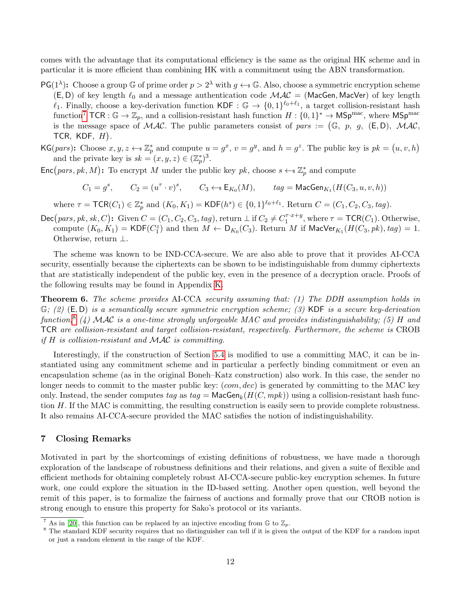<span id="page-11-3"></span>comes with the advantage that its computational efficiency is the same as the original HK scheme and in particular it is more efficient than combining HK with a commitment using the ABN transformation.

- $\mathsf{PG}(1^{\lambda})$ : Choose a group G of prime order  $p > 2^{\lambda}$  with  $g \leftarrow s$  G. Also, choose a symmetric encryption scheme  $(E, D)$  of key length  $\ell_0$  and a message authentication code  $\mathcal{MAC} = (MacGen, MacVer)$  of key length  $\ell_1$ . Finally, choose a key-derivation function KDF :  $\mathbb{G} \to \{0,1\}^{\ell_0+\ell_1}$ , a target collision-resistant hash function<sup>[7](#page-11-1)</sup> TCR :  $\mathbb{G} \to \mathbb{Z}_p$ , and a collision-resistant hash function  $H: \{0,1\}^* \to \mathsf{MSp}^{\text{mac}}$ , where  $\mathsf{MSp}^{\text{mac}}$ is the message space of MAC. The public parameters consist of pars :=  $(\mathbb{G}, p, g, (\mathsf{E}, \mathsf{D}), \mathcal{MAC},$ TCR, KDF,  $H$ ).
- KG(pars): Choose  $x, y, z \leftarrow s \mathbb{Z}_p^*$  and compute  $u = g^x$ ,  $v = g^y$ , and  $h = g^z$ . The public key is  $pk = (u, v, h)$ and the private key is  $sk = (x, y, z) \in (\mathbb{Z}_p^*)^3$ .
- $\mathsf{Enc}(\textit{pars}, \textit{pk}, M)$ : To encrypt M under the public key  $\textit{pk}$ , choose  $s \leftarrow s \mathbb{Z}_p^*$  and compute

<span id="page-11-4"></span> $C_1 = g^s$ ,  $C_2 = (u^{\tau} \cdot v)^s$ ,  $C_3 \leftarrow s \mathsf{E}_{K_0}(M)$ ,  $tag = \mathsf{MacGen}_{K_1}(H(C_3, u, v, h))$ 

where  $\tau = \textsf{TCR}(C_1) \in \mathbb{Z}_p^*$  and  $(K_0, K_1) = \textsf{KDF}(h^s) \in \{0, 1\}^{\ell_0 + \ell_1}$ . Return  $C = (C_1, C_2, C_3, tag)$ .

Dec(pars, pk, sk, C): Given  $C = (C_1, C_2, C_3, tag)$ , return  $\perp$  if  $C_2 \neq C_1^{\tau \cdot x + y}$  $T^{x+y}_{1}$ , where  $\tau = \textsf{TCR}(C_1)$ . Otherwise, compute  $(K_0, K_1) = \text{KDF}(C_1^z)$  and then  $M \leftarrow \mathsf{D}_{K_0}(C_3)$ . Return M if  $\mathsf{MacVer}_{K_1}(H(C_3, pk), tag) = 1$ . Otherwise, return ⊥.

The scheme was known to be IND-CCA-secure. We are also able to prove that it provides AI-CCA security, essentially because the ciphertexts can be shown to be indistinguishable from dummy ciphertexts that are statistically independent of the public key, even in the presence of a decryption oracle. Proofs of the following results may be found in Appendix [K.](#page-27-0)

Theorem 6. The scheme provides AI-CCA security assuming that: (1) The DDH assumption holds in  $\mathbb{G}$ ; (2) (E, D) is a semantically secure symmetric encryption scheme; (3) KDF is a secure key-derivation function,<sup>[8](#page-11-2)</sup> (4) MAC is a one-time strongly unforgeable MAC and provides indistinguishability; (5) H and TCR are collision-resistant and target collision-resistant, respectively. Furthermore, the scheme is CROB if H is collision-resistant and  $\mathcal{MAC}$  is committing.

Interestingly, if the construction of Section [5.4](#page-9-1) is modified to use a committing MAC, it can be instantiated using any commitment scheme and in particular a perfectly binding commitment or even an encapsulation scheme (as in the original Boneh–Katz construction) also work. In this case, the sender no longer needs to commit to the master public key:  $(com, dec)$  is generated by committing to the MAC key only. Instead, the sender computes tag as  $taq = MacGen_k(H(C, mpk))$  using a collision-resistant hash function H. If the MAC is committing, the resulting construction is easily seen to provide complete robustness. It also remains AI-CCA-secure provided the MAC satisfies the notion of indistinguishability.

### <span id="page-11-0"></span>7 Closing Remarks

Motivated in part by the shortcomings of existing definitions of robustness, we have made a thorough exploration of the landscape of robustness definitions and their relations, and given a suite of flexible and efficient methods for obtaining completely robust AI-CCA-secure public-key encryption schemes. In future work, one could explore the situation in the ID-based setting. Another open question, well beyond the remit of this paper, is to formalize the fairness of auctions and formally prove that our CROB notion is strong enough to ensure this property for Sako's protocol or its variants.

<span id="page-11-1"></span><sup>&</sup>lt;sup>7</sup> As in [\[20\]](#page-12-13), this function can be replaced by an injective encoding from  $\mathbb{G}$  to  $\mathbb{Z}_p$ .

<span id="page-11-2"></span><sup>&</sup>lt;sup>8</sup> The standard KDF security requires that no distinguisher can tell if it is given the output of the KDF for a random input or just a random element in the range of the KDF.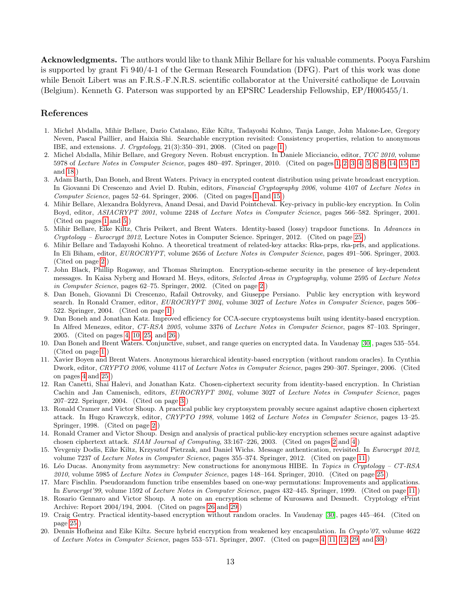<span id="page-12-16"></span>Acknowledgments. The authors would like to thank Mihir Bellare for his valuable comments. Pooya Farshim is supported by grant Fi 940/4-1 of the German Research Foundation (DFG). Part of this work was done while Benoît Libert was an F.R.S.-F.N.R.S. scientific collaborator at the Université catholique de Louvain (Belgium). Kenneth G. Paterson was supported by an EPSRC Leadership Fellowship, EP/H005455/1.

### References

- <span id="page-12-2"></span>1. Michel Abdalla, Mihir Bellare, Dario Catalano, Eike Kiltz, Tadayoshi Kohno, Tanja Lange, John Malone-Lee, Gregory Neven, Pascal Paillier, and Haixia Shi. Searchable encryption revisited: Consistency properties, relation to anonymous IBE, and extensions. J. Cryptology,  $21(3):350-391$ ,  $2008$ . (Cited on page [1.](#page-0-0))
- <span id="page-12-1"></span>2. Michel Abdalla, Mihir Bellare, and Gregory Neven. Robust encryption. In Daniele Micciancio, editor, TCC 2010, volume 5978 of Lecture Notes in Computer Science, pages 480–497. Springer, 2010. (Cited on pages [1,](#page-0-0) [2,](#page-1-0) [3,](#page-2-1) [4,](#page-3-1) [5,](#page-4-2) [8,](#page-7-2) [9,](#page-8-2) [14,](#page-13-8) [15,](#page-14-1) [17,](#page-16-0) and [18.](#page-17-1))
- <span id="page-12-4"></span>3. Adam Barth, Dan Boneh, and Brent Waters. Privacy in encrypted content distribution using private broadcast encryption. In Giovanni Di Crescenzo and Aviel D. Rubin, editors, Financial Cryptography 2006, volume 4107 of Lecture Notes in Computer Science, pages 52–64. Springer, 2006. (Cited on pages [1](#page-0-0) and [15.](#page-14-1))
- <span id="page-12-0"></span>4. Mihir Bellare, Alexandra Boldyreva, Anand Desai, and David Pointcheval. Key-privacy in public-key encryption. In Colin Boyd, editor, ASIACRYPT 2001, volume 2248 of Lecture Notes in Computer Science, pages 566–582. Springer, 2001. (Cited on pages [1](#page-0-0) and [5.](#page-4-2))
- <span id="page-12-19"></span>5. Mihir Bellare, Eike Kiltz, Chris Peikert, and Brent Waters. Identity-based (lossy) trapdoor functions. In Advances in Cryptology – Eurocrypt 2012, Lecture Notes in Computer Science. Springer, 2012. (Cited on page [25.](#page-24-1))
- <span id="page-12-9"></span>6. Mihir Bellare and Tadayoshi Kohno. A theoretical treatment of related-key attacks: Rka-prps, rka-prfs, and applications. In Eli Biham, editor, EUROCRYPT, volume 2656 of Lecture Notes in Computer Science, pages 491–506. Springer, 2003. (Cited on page [2.](#page-1-0))
- <span id="page-12-8"></span>7. John Black, Phillip Rogaway, and Thomas Shrimpton. Encryption-scheme security in the presence of key-dependent messages. In Kaisa Nyberg and Howard M. Heys, editors, Selected Areas in Cryptography, volume 2595 of Lecture Notes in Computer Science, pages 62–75. Springer, 2002. (Cited on page [2.](#page-1-0))
- <span id="page-12-3"></span>8. Dan Boneh, Giovanni Di Crescenzo, Rafail Ostrovsky, and Giuseppe Persiano. Public key encryption with keyword search. In Ronald Cramer, editor, EUROCRYPT 2004, volume 3027 of Lecture Notes in Computer Science, pages 506-522. Springer, 2004. (Cited on page [1.](#page-0-0))
- <span id="page-12-12"></span>9. Dan Boneh and Jonathan Katz. Improved efficiency for CCA-secure cryptosystems built using identity-based encryption. In Alfred Menezes, editor, CT-RSA 2005, volume 3376 of Lecture Notes in Computer Science, pages 87–103. Springer, 2005. (Cited on pages [4,](#page-3-1) [10,](#page-9-2) [25,](#page-24-1) and [26.](#page-25-0))
- <span id="page-12-5"></span>10. Dan Boneh and Brent Waters. Conjunctive, subset, and range queries on encrypted data. In Vaudenay [\[30\]](#page-13-9), pages 535–554. (Cited on page [1.](#page-0-0))
- <span id="page-12-11"></span>11. Xavier Boyen and Brent Waters. Anonymous hierarchical identity-based encryption (without random oracles). In Cynthia Dwork, editor, CRYPTO 2006, volume 4117 of Lecture Notes in Computer Science, pages 290–307. Springer, 2006. (Cited on pages [4](#page-3-1) and [25.](#page-24-1))
- <span id="page-12-10"></span>12. Ran Canetti, Shai Halevi, and Jonathan Katz. Chosen-ciphertext security from identity-based encryption. In Christian Cachin and Jan Camenisch, editors, EUROCRYPT 2004, volume 3027 of Lecture Notes in Computer Science, pages 207–222. Springer, 2004. (Cited on page [3.](#page-2-1))
- <span id="page-12-6"></span>13. Ronald Cramer and Victor Shoup. A practical public key cryptosystem provably secure against adaptive chosen ciphertext attack. In Hugo Krawczyk, editor, CRYPTO 1998, volume 1462 of Lecture Notes in Computer Science, pages 13–25. Springer, 1998. (Cited on page [2.](#page-1-0))
- <span id="page-12-7"></span>14. Ronald Cramer and Victor Shoup. Design and analysis of practical public-key encryption schemes secure against adaptive chosen ciphertext attack. SIAM Journal of Computing, 33:167-226, [2](#page-1-0)003. (Cited on pages 2 and [4.](#page-3-1))
- <span id="page-12-15"></span>15. Yevgeniy Dodis, Eike Kiltz, Krzysztof Pietrzak, and Daniel Wichs. Message authentication, revisited. In Eurocrypt 2012, volume 7237 of Lecture Notes in Computer Science, pages 355–374. Springer, 2012. (Cited on page [11.](#page-10-1))
- <span id="page-12-18"></span>16. Léo Ducas. Anonymity from asymmetry: New constructions for anonymous HIBE. In Topics in Cryptology – CT-RSA 2010, volume 5985 of Lecture Notes in Computer Science, pages 148–164. Springer, 2010. (Cited on page [25.](#page-24-1))
- <span id="page-12-14"></span>17. Marc Fischlin. Pseudorandom function tribe ensembles based on one-way permutations: Improvements and applications. In Eurocrypt'99, volume 1592 of Lecture Notes in Computer Science, pages 432–445. Springer, 1999. (Cited on page [11.](#page-10-1))
- <span id="page-12-20"></span>18. Rosario Gennaro and Victor Shoup. A note on an encryption scheme of Kurosawa and Desmedt. Cryptology ePrint Archive: Report 2004/194, 2004. (Cited on pages [26](#page-25-0) and [29.](#page-28-0))
- <span id="page-12-17"></span>19. Craig Gentry. Practical identity-based encryption without random oracles. In Vaudenay [\[30\]](#page-13-9), pages 445–464. (Cited on page [25.](#page-24-1))
- <span id="page-12-13"></span>20. Dennis Hofheinz and Eike Kiltz. Secure hybrid encryption from weakened key encapsulation. In Crypto'07, volume 4622 of Lecture Notes in Computer Science, pages 553–571. Springer, 2007. (Cited on pages [4,](#page-3-1) [11,](#page-10-1) [12,](#page-11-3) [29,](#page-28-0) and [30.](#page-29-0))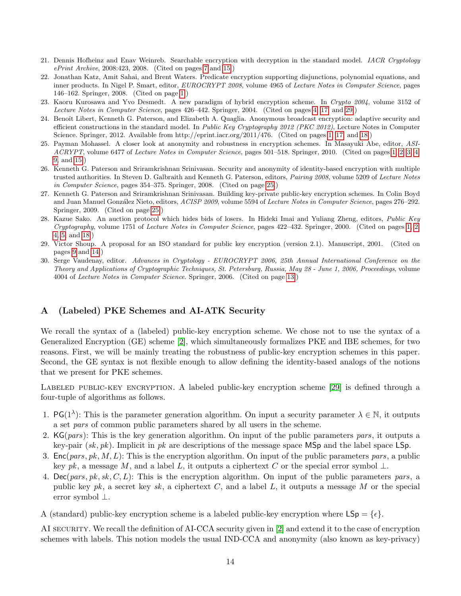- <span id="page-13-8"></span><span id="page-13-6"></span>21. Dennis Hofheinz and Enav Weinreb. Searchable encryption with decryption in the standard model. IACR Cryptology ePrint Archive, 2008:423, 2008. (Cited on pages [7](#page-6-4) and [15.](#page-14-1))
- <span id="page-13-3"></span>22. Jonathan Katz, Amit Sahai, and Brent Waters. Predicate encryption supporting disjunctions, polynomial equations, and inner products. In Nigel P. Smart, editor, EUROCRYPT 2008, volume 4965 of Lecture Notes in Computer Science, pages 146–162. Springer, 2008. (Cited on page [1.](#page-0-0))
- <span id="page-13-4"></span>23. Kaoru Kurosawa and Yvo Desmedt. A new paradigm of hybrid encryption scheme. In Crypto 2004, volume 3152 of Lecture Notes in Computer Science, pages 426–442. Springer, 2004. (Cited on pages [4,](#page-3-1) [17,](#page-16-0) and [29.](#page-28-0))
- <span id="page-13-1"></span>24. Benoît Libert, Kenneth G. Paterson, and Elizabeth A. Quaglia. Anonymous broadcast encryption: adaptive security and efficient constructions in the standard model. In Public Key Cryptography 2012 (PKC 2012), Lecture Notes in Computer Science. Springer, 2012. Available from http://eprint.iacr.org/2011/476. (Cited on pages [1,](#page-0-0) [17,](#page-16-0) and [18.](#page-17-1))
- <span id="page-13-2"></span>25. Payman Mohassel. A closer look at anonymity and robustness in encryption schemes. In Masayuki Abe, editor, ASI-ACRYPT, volume 6477 of Lecture Notes in Computer Science, pages 501–518. Springer, 2010. (Cited on pages [1,](#page-0-0) [2,](#page-1-0) [3,](#page-2-1) [4,](#page-3-1) [9,](#page-8-2) and [15.](#page-14-1))
- <span id="page-13-10"></span>26. Kenneth G. Paterson and Sriramkrishnan Srinivasan. Security and anonymity of identity-based encryption with multiple trusted authorities. In Steven D. Galbraith and Kenneth G. Paterson, editors, Pairing 2008, volume 5209 of Lecture Notes in Computer Science, pages 354–375. Springer, 2008. (Cited on page [25.](#page-24-1))
- <span id="page-13-11"></span>27. Kenneth G. Paterson and Sriramkrishnan Srinivasan. Building key-private public-key encryption schemes. In Colin Boyd and Juan Manuel González Nieto, editors, ACISP 2009, volume 5594 of Lecture Notes in Computer Science, pages 276–292. Springer, 2009. (Cited on page [25.](#page-24-1))
- <span id="page-13-0"></span>28. Kazue Sako. An auction protocol which hides bids of losers. In Hideki Imai and Yuliang Zheng, editors, Public Key Cryptography, volume 1751 of Lecture Notes in Computer Science, pages 422–432. Springer, 2000. (Cited on pages [1,](#page-0-0) [2,](#page-1-0) [4,](#page-3-1) [5,](#page-4-2) and [18.](#page-17-1))
- <span id="page-13-7"></span>29. Victor Shoup. A proposal for an ISO standard for public key encryption (version 2.1). Manuscript, 2001. (Cited on pages [9](#page-8-2) and [14.](#page-13-8))
- <span id="page-13-9"></span>30. Serge Vaudenay, editor. Advances in Cryptology - EUROCRYPT 2006, 25th Annual International Conference on the Theory and Applications of Cryptographic Techniques, St. Petersburg, Russia, May 28 - June 1, 2006, Proceedings, volume 4004 of Lecture Notes in Computer Science. Springer, 2006. (Cited on page [13.](#page-12-16))

# <span id="page-13-5"></span>A (Labeled) PKE Schemes and AI-ATK Security

We recall the syntax of a (labeled) public-key encryption scheme. We chose not to use the syntax of a Generalized Encryption (GE) scheme [\[2\]](#page-12-1), which simultaneously formalizes PKE and IBE schemes, for two reasons. First, we will be mainly treating the robustness of public-key encryption schemes in this paper. Second, the GE syntax is not flexible enough to allow defining the identity-based analogs of the notions that we present for PKE schemes.

LABELED PUBLIC-KEY ENCRYPTION. A labeled public-key encryption scheme [\[29\]](#page-13-7) is defined through a four-tuple of algorithms as follows.

- 1. PG(1<sup> $\lambda$ </sup>): This is the parameter generation algorithm. On input a security parameter  $\lambda \in \mathbb{N}$ , it outputs a set pars of common public parameters shared by all users in the scheme.
- 2.  $\text{KG}(pars)$ : This is the key generation algorithm. On input of the public parameters pars, it outputs a key-pair  $(s_k, pk)$ . Implicit in pk are descriptions of the message space MSp and the label space LSp.
- 3. Enc(pars, pk, M, L): This is the encryption algorithm. On input of the public parameters pars, a public key pk, a message M, and a label L, it outputs a ciphertext C or the special error symbol  $\perp$ .
- 4. Dec(*pars, pk, sk, C, L*): This is the encryption algorithm. On input of the public parameters pars, a public key pk, a secret key sk, a ciphertext C, and a label L, it outputs a message M or the special error symbol ⊥.
- A (standard) public-key encryption scheme is a labeled public-key encryption where  $\textsf{LSp} = \{\epsilon\}.$

AI security. We recall the definition of AI-CCA security given in [\[2\]](#page-12-1) and extend it to the case of encryption schemes with labels. This notion models the usual IND-CCA and anonymity (also known as key-privacy)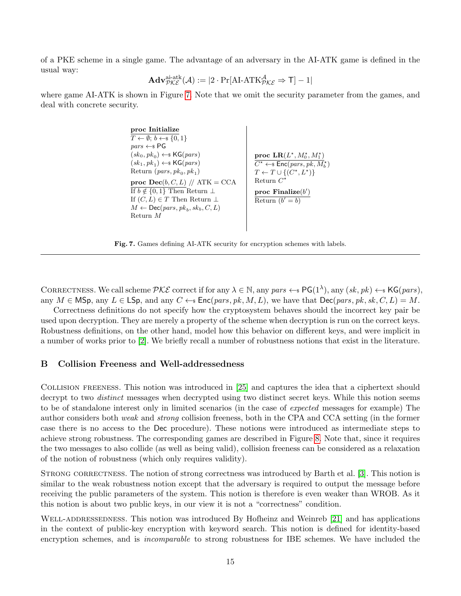<span id="page-14-1"></span>of a PKE scheme in a single game. The advantage of an adversary in the AI-ATK game is defined in the usual way:

$$
\mathbf{Adv}_{\mathcal{PKE}}^{\text{ai-atk}}(\mathcal{A}) := |2 \cdot \Pr[\text{AI-ATK}_{\mathcal{PKE}}^{\mathcal{A}} \Rightarrow \mathsf{T}] - 1|
$$

where game AI-ATK is shown in Figure [7.](#page-14-2) Note that we omit the security parameter from the games, and deal with concrete security.



<span id="page-14-2"></span>Fig. 7. Games defining AI-ATK security for encryption schemes with labels.

CORRECTNESS. We call scheme  $\mathcal{PKE}$  correct if for any  $\lambda \in \mathbb{N}$ , any  $\text{pars} \leftarrow s \text{ PG}(1^{\lambda})$ , any  $(sk, pk) \leftarrow s \text{ KG}(pars)$ , any  $M \in \mathsf{MSp}$ , any  $L \in \mathsf{LSp}$ , and any  $C \leftarrow \mathsf{sEnc}(\textit{pars}, \textit{pk}, M, L)$ , we have that  $\mathsf{Dec}(\textit{pars}, \textit{pk}, \textit{sk}, C, L) = M$ .

Correctness definitions do not specify how the cryptosystem behaves should the incorrect key pair be used upon decryption. They are merely a property of the scheme when decryption is run on the correct keys. Robustness definitions, on the other hand, model how this behavior on different keys, and were implicit in a number of works prior to [\[2\]](#page-12-1). We briefly recall a number of robustness notions that exist in the literature.

### <span id="page-14-0"></span>B Collision Freeness and Well-addressedness

Collision freeness. This notion was introduced in [\[25\]](#page-13-2) and captures the idea that a ciphertext should decrypt to two *distinct* messages when decrypted using two distinct secret keys. While this notion seems to be of standalone interest only in limited scenarios (in the case of expected messages for example) The author considers both weak and strong collision freeness, both in the CPA and CCA setting (in the former case there is no access to the Dec procedure). These notions were introduced as intermediate steps to achieve strong robustness. The corresponding games are described in Figure [8.](#page-15-2) Note that, since it requires the two messages to also collide (as well as being valid), collision freeness can be considered as a relaxation of the notion of robustness (which only requires validity).

STRONG CORRECTNESS. The notion of strong correctness was introduced by Barth et al. [\[3\]](#page-12-4). This notion is similar to the weak robustness notion except that the adversary is required to output the message before receiving the public parameters of the system. This notion is therefore is even weaker than WROB. As it this notion is about two public keys, in our view it is not a "correctness" condition.

WELL-ADDRESSEDNESS. This notion was introduced By Hofheinz and Weinreb [\[21\]](#page-13-6) and has applications in the context of public-key encryption with keyword search. This notion is defined for identity-based encryption schemes, and is *incomparable* to strong robustness for IBE schemes. We have included the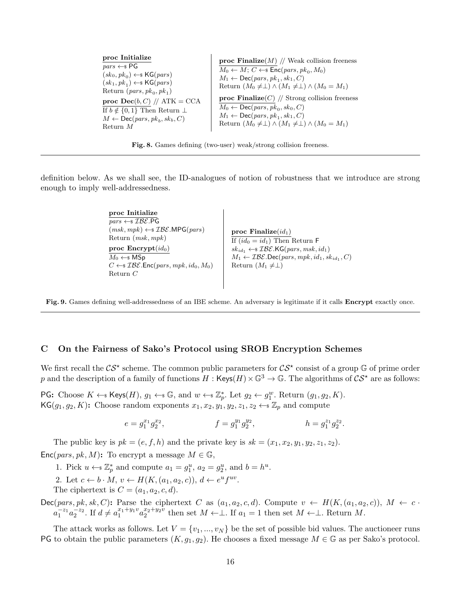| proc Initialize                                                                                                                                                                                                    | <b>proc Finalize</b> $(M)$ // Weak collision freeness                                                                                                                                                                                                                                           |
|--------------------------------------------------------------------------------------------------------------------------------------------------------------------------------------------------------------------|-------------------------------------------------------------------------------------------------------------------------------------------------------------------------------------------------------------------------------------------------------------------------------------------------|
| $pars \leftarrow$ PG                                                                                                                                                                                               | $M_0 \leftarrow M$ ; $C \leftarrow$ Enc(pars, pk <sub>0</sub> , M <sub>0</sub> )                                                                                                                                                                                                                |
| $(sk_0, pk_0) \leftarrow$ KG(pars)                                                                                                                                                                                 | $M_1 \leftarrow \textsf{Dec}(\textit{pars}, \textit{pk}_1, \textit{sk}_1, C)$                                                                                                                                                                                                                   |
| $(sk_1, pk_1) \leftarrow \$ \text{KG}(pars)$                                                                                                                                                                       | Return $(M_0 \neq \perp) \wedge (M_1 \neq \perp) \wedge (M_0 = M_1)$                                                                                                                                                                                                                            |
| Return $(pars, pk_0, pk_1)$<br><b>proc</b> $\text{Dec}(b, C)$ // ATK = CCA<br>If $b \notin \{0,1\}$ Then Return $\perp$<br>$M \leftarrow \mathsf{Dec}(\textit{pars}, \textit{pk}_b, \textit{sk}_b, C)$<br>Return M | <b>proc Finalize</b> (C) // Strong collision freeness<br>$M_0 \leftarrow \mathsf{Dec}(\textit{pars}, \textit{pk}_0, \textit{sk}_0, C)$<br>$M_1 \leftarrow \mathsf{Dec}(\textit{pars}, \textit{pk}_1, \textit{sk}_1, C)$<br>Return $(M_0 \neq \perp) \wedge (M_1 \neq \perp) \wedge (M_0 = M_1)$ |

<span id="page-15-2"></span>Fig. 8. Games defining (two-user) weak/strong collision freeness.

definition below. As we shall see, the ID-analogues of notion of robustness that we introduce are strong enough to imply well-addressedness.

> proc Initialize  $parse \leftarrow$ \$  $\mathcal{IBE}.\overline{PG}$  $(msk, mpk) \leftarrow$ \$  $\mathcal{IBE}.\mathsf{MPG}(pars)$ Return (msk, mpk) proc  $\text{Energy}(id_0)$  $M_0 \leftarrow$ s MSp  $C \leftarrow$  *IBE*. Enc(*pars*, *mpk*, *id*<sub>0</sub>, *M*<sub>0</sub>) Return C proc Finalize $(id_1)$ If  $(id_0 = id_1)$  Then Return F  $sk_{id_1} \leftarrow \$ \text{LBE.KG}(pars, msk, id_1)$  $M_1 \leftarrow \mathcal{IBE}.\mathsf{Dec}(\mathit{pars}, \mathit{mpk}, \mathit{id}_1, \mathit{sk}_{\mathit{id}_1}, C)$ Return  $(M_1 \neq \perp)$

<span id="page-15-1"></span>Fig. 9. Games defining well-addressedness of an IBE scheme. An adversary is legitimate if it calls Encrypt exactly once.

### <span id="page-15-0"></span>C On the Fairness of Sako's Protocol using SROB Encryption Schemes

We first recall the  $CS^*$  scheme. The common public parameters for  $CS^*$  consist of a group G of prime order p and the description of a family of functions  $H : \text{Keys}(H) \times \mathbb{G}^3 \to \mathbb{G}$ . The algorithms of  $\mathcal{CS}^*$  are as follows:

PG: Choose  $K \leftarrow s \text{Keys}(H)$ ,  $g_1 \leftarrow s \mathbb{G}$ , and  $w \leftarrow s \mathbb{Z}_p^*$ . Let  $g_2 \leftarrow g_1^w$ . Return  $(g_1, g_2, K)$ .  $\mathsf{KG}(g_1, g_2, K)$ : Choose random exponents  $x_1, x_2, y_1, y_2, z_1, z_2 \leftrightarrow \mathbb{Z}_p$  and compute

$$
e=g_1^{x_1}g_2^{x_2}, \qquad \qquad f=g_1^{y_1}g_2^{y_2}, \qquad \qquad h=g_1^{z_1}g_2^{z_2}.
$$

The public key is  $pk = (e, f, h)$  and the private key is  $sk = (x_1, x_2, y_1, y_2, z_1, z_2)$ .  $Enc(pars, pk, M)$ : To encrypt a message  $M \in \mathbb{G}$ ,

- 1. Pick  $u \leftarrow \mathbb{Z}_p^*$  and compute  $a_1 = g_1^u$ ,  $a_2 = g_2^u$ , and  $b = h^u$ .
- 2. Let  $c \leftarrow b \cdot M$ ,  $v \leftarrow H(K, (a_1, a_2, c))$ ,  $d \leftarrow e^u f^{uv}$ .
- The ciphertext is  $C = (a_1, a_2, c, d)$ .
- Dec(pars, pk, sk, C): Parse the ciphertext C as  $(a_1, a_2, c, d)$ . Compute  $v \leftarrow H(K, (a_1, a_2, c))$ ,  $M \leftarrow c$ .  $a_1^{-z_1}a_2^{-z_2}$ . If  $d \neq a_1^{x_1+y_1v}a_2^{x_2+y_2v}$  then set  $M \leftarrow \perp$ . If  $a_1 = 1$  then set  $M \leftarrow \perp$ . Return M.

The attack works as follows. Let  $V = \{v_1, ..., v_N\}$  be the set of possible bid values. The auctioneer runs PG to obtain the public parameters  $(K, g_1, g_2)$ . He chooses a fixed message  $M \in \mathbb{G}$  as per Sako's protocol.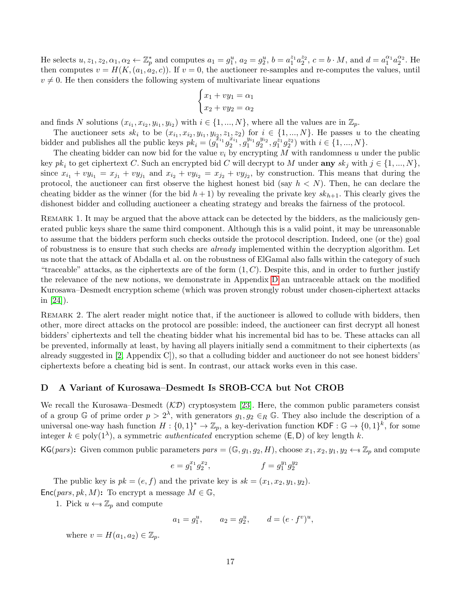<span id="page-16-0"></span>He selects  $u, z_1, z_2, \alpha_1, \alpha_2 \leftarrow \mathbb{Z}_p^*$  and computes  $a_1 = g_1^u$ ,  $a_2 = g_2^u$ ,  $b = a_1^{z_1} a_2^{z_2}$ ,  $c = b \cdot M$ , and  $d = a_1^{\alpha_1} a_2^{\alpha_2}$ . He then computes  $v = H(K,(a_1,a_2,c))$ . If  $v = 0$ , the auctioneer re-samples and re-computes the values, until  $v \neq 0$ . He then considers the following system of multivariate linear equations

$$
\begin{cases} x_1 + vy_1 = \alpha_1 \\ x_2 + vy_2 = \alpha_2 \end{cases}
$$

and finds N solutions  $(x_{i_1}, x_{i_2}, y_{i_1}, y_{i_2})$  with  $i \in \{1, ..., N\}$ , where all the values are in  $\mathbb{Z}_p$ .

The auctioneer sets  $sk_i$  to be  $(x_{i_1}, x_{i_2}, y_{i_1}, y_{i_2}, z_{1, z_2})$  for  $i \in \{1, ..., N\}$ . He passes u to the cheating bidder and publishes all the public keys  $pk_i = (g_1^{x_{i_1}}g_2^{x_{i_1}}g_1^{x_{i_1}}g_2^{y_{i_2}}, g_1^{z_1}g_2^{z_2})$  with  $i \in \{1, ..., N\}$ .

The cheating bidder can now bid for the value  $v_i$  by encrypting M with randomness u under the public key  $pk_i$  to get ciphertext C. Such an encrypted bid C will decrypt to M under **any**  $sk_j$  with  $j \in \{1, ..., N\}$ , since  $x_{i_1} + vy_{i_1} = x_{j_1} + vy_{j_1}$  and  $x_{i_2} + vy_{i_2} = x_{j_2} + vy_{j_2}$ , by construction. This means that during the protocol, the auctioneer can first observe the highest honest bid (say  $h < N$ ). Then, he can declare the cheating bidder as the winner (for the bid  $h + 1$ ) by revealing the private key  $sk_{h+1}$ . This clearly gives the dishonest bidder and colluding auctioneer a cheating strategy and breaks the fairness of the protocol.

REMARK 1. It may be argued that the above attack can be detected by the bidders, as the maliciously generated public keys share the same third component. Although this is a valid point, it may be unreasonable to assume that the bidders perform such checks outside the protocol description. Indeed, one (or the) goal of robustness is to ensure that such checks are already implemented within the decryption algorithm. Let us note that the attack of Abdalla et al. on the robustness of ElGamal also falls within the category of such "traceable" attacks, as the ciphertexts are of the form  $(1, C)$ . Despite this, and in order to further justify the relevance of the new notions, we demonstrate in Appendix [D](#page-16-1) an untraceable attack on the modified Kurosawa–Desmedt encryption scheme (which was proven strongly robust under chosen-ciphertext attacks in [\[24\]](#page-13-1)).

REMARK 2. The alert reader might notice that, if the auctioneer is allowed to collude with bidders, then other, more direct attacks on the protocol are possible: indeed, the auctioneer can first decrypt all honest bidders' ciphertexts and tell the cheating bidder what his incremental bid has to be. These attacks can all be prevented, informally at least, by having all players initially send a commitment to their ciphertexts (as already suggested in [\[2,](#page-12-1) Appendix C]), so that a colluding bidder and auctioneer do not see honest bidders' ciphertexts before a cheating bid is sent. In contrast, our attack works even in this case.

#### <span id="page-16-1"></span>D A Variant of Kurosawa–Desmedt Is SROB-CCA but Not CROB

We recall the Kurosawa–Desmedt  $(K\mathcal{D})$  cryptosystem [\[23\]](#page-13-4). Here, the common public parameters consist of a group G of prime order  $p > 2^{\lambda}$ , with generators  $g_1, g_2 \in_R \mathbb{G}$ . They also include the description of a universal one-way hash function  $H: \{0,1\}^* \to \mathbb{Z}_p$ , a key-derivation function KDF:  $\mathbb{G} \to \{0,1\}^k$ , for some integer  $k \in \text{poly}(1^{\lambda})$ , a symmetric *authenticated* encryption scheme  $(E, D)$  of key length k.

 $\mathsf{KG}(pars)$ : Given common public parameters  $pars = (\mathbb{G}, g_1, g_2, H)$ , choose  $x_1, x_2, y_1, y_2 \leftarrow \mathbb{Z}_p$  and compute

$$
e = g_1^{x_1} g_2^{x_2}, \t\t f = g_1^{y_1} g_2^{y_2}
$$

The public key is  $pk = (e, f)$  and the private key is  $sk = (x_1, x_2, y_1, y_2)$ .

 $Enc(pars, pk, M)$ : To encrypt a message  $M \in \mathbb{G}$ ,

1. Pick  $u \leftarrow \mathcal{Z}_p$  and compute

$$
a_1 = g_1^u
$$
,  $a_2 = g_2^u$ ,  $d = (e \cdot f^v)^u$ ,

where  $v = H(a_1, a_2) \in \mathbb{Z}_n$ .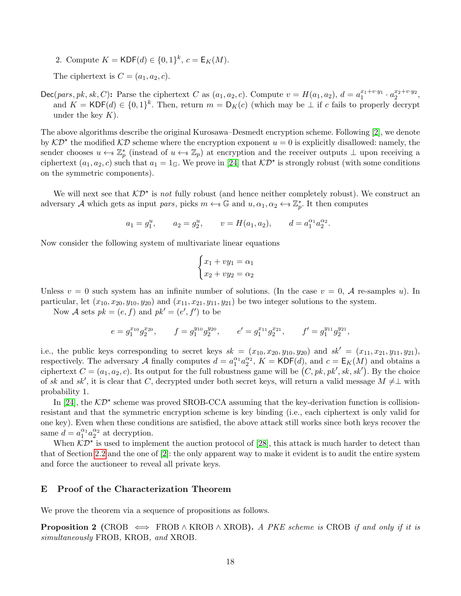<span id="page-17-1"></span>2. Compute  $K = \text{KDF}(d) \in \{0, 1\}^k$ ,  $c = \mathsf{E}_K(M)$ .

The ciphertext is  $C = (a_1, a_2, c)$ .

Dec(pars, pk, sk, C): Parse the ciphertext C as  $(a_1, a_2, c)$ . Compute  $v = H(a_1, a_2)$ ,  $d = a_1^{x_1+v\cdot y_1} \cdot a_2^{x_2+v\cdot y_2}$ , and  $K = \text{KDF}(d) \in \{0, 1\}^k$ . Then, return  $m = \mathsf{D}_K(c)$  (which may be  $\perp$  if c fails to properly decrypt under the key  $K$ ).

The above algorithms describe the original Kurosawa–Desmedt encryption scheme. Following [\[2\]](#page-12-1), we denote by  $\mathcal{KD}^*$  the modified  $\mathcal{KD}$  scheme where the encryption exponent  $u = 0$  is explicitly disallowed: namely, the sender chooses  $u \leftarrow \mathcal{Z}_p^*$  (instead of  $u \leftarrow \mathcal{Z}_p$ ) at encryption and the receiver outputs  $\perp$  upon receiving a ciphertext  $(a_1, a_2, c)$  such that  $a_1 = 1_G$ . We prove in [\[24\]](#page-13-1) that  $\mathcal{KD}^*$  is strongly robust (with some conditions on the symmetric components).

We will next see that  $\mathcal{KD}^*$  is not fully robust (and hence neither completely robust). We construct an adversary A which gets as input pars, picks  $m \leftarrow s \mathbb{G}$  and  $u, \alpha_1, \alpha_2 \leftarrow s \mathbb{Z}_p^*$ . It then computes

$$
a_1 = g_1^u
$$
,  $a_2 = g_2^u$ ,  $v = H(a_1, a_2)$ ,  $d = a_1^{\alpha_1} a_2^{\alpha_2}$ .

Now consider the following system of multivariate linear equations

$$
\begin{cases} x_1 + vy_1 = \alpha_1 \\ x_2 + vy_2 = \alpha_2 \end{cases}
$$

Unless  $v = 0$  such system has an infinite number of solutions. (In the case  $v = 0$ , A re-samples u). In particular, let  $(x_{10}, x_{20}, y_{10}, y_{20})$  and  $(x_{11}, x_{21}, y_{11}, y_{21})$  be two integer solutions to the system.

Now A sets  $pk = (e, f)$  and  $pk' = (e', f')$  to be

$$
e=g_1^{x_{10}}g_2^{x_{20}},\qquad f=g_1^{y_{10}}g_2^{y_{20}},\qquad e'=g_1^{x_{11}}g_2^{x_{21}},\qquad f'=g_1^{y_{11}}g_2^{y_{21}},
$$

i.e., the public keys corresponding to secret keys  $sk = (x_{10}, x_{20}, y_{10}, y_{20})$  and  $sk' = (x_{11}, x_{21}, y_{11}, y_{21})$ , respectively. The adversary A finally computes  $d = a_1^{\alpha_1} a_2^{\alpha_2}$ ,  $K = \text{KDF}(d)$ , and  $c = \mathsf{E}_K(M)$  and obtains a ciphertext  $C = (a_1, a_2, c)$ . Its output for the full robustness game will be  $(C, pk, pk', sk, sk')$ . By the choice of sk and sk', it is clear that C, decrypted under both secret keys, will return a valid message  $M \neq \perp$  with probability 1.

In [\[24\]](#page-13-1), the  $\mathcal{KD}^*$  scheme was proved SROB-CCA assuming that the key-derivation function is collisionresistant and that the symmetric encryption scheme is key binding (i.e., each ciphertext is only valid for one key). Even when these conditions are satisfied, the above attack still works since both keys recover the same  $d = a_1^{\alpha_1} a_2^{\alpha_2}$  at decryption.

When  $\mathcal{KD}^*$  is used to implement the auction protocol of [\[28\]](#page-13-0), this attack is much harder to detect than that of Section [2.2](#page-3-2) and the one of [\[2\]](#page-12-1): the only apparent way to make it evident is to audit the entire system and force the auctioneer to reveal all private keys.

### <span id="page-17-0"></span>E Proof of the Characterization Theorem

We prove the theorem via a sequence of propositions as follows.

**Proposition 2** (CROB  $\iff$  FROB ∧ KROB ∧ XROB). A PKE scheme is CROB if and only if it is simultaneously FROB, KROB, and XROB.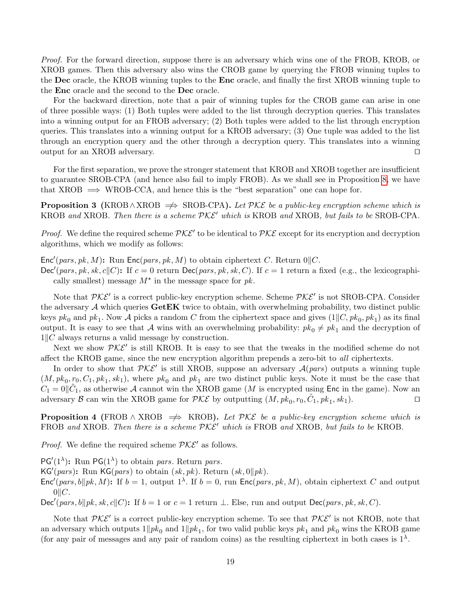*Proof.* For the forward direction, suppose there is an adversary which wins one of the FROB, KROB, or XROB games. Then this adversary also wins the CROB game by querying the FROB winning tuples to the Dec oracle, the KROB winning tuples to the **Enc** oracle, and finally the first XROB winning tuple to the Enc oracle and the second to the Dec oracle.

For the backward direction, note that a pair of winning tuples for the CROB game can arise in one of three possible ways: (1) Both tuples were added to the list through decryption queries. This translates into a winning output for an FROB adversary; (2) Both tuples were added to the list through encryption queries. This translates into a winning output for a KROB adversary; (3) One tuple was added to the list through an encryption query and the other through a decryption query. This translates into a winning output for an XROB adversary.  $\square$ 

<span id="page-18-1"></span>For the first separation, we prove the stronger statement that KROB and XROB together are insufficient to guarantee SROB-CPA (and hence also fail to imply FROB). As we shall see in Proposition [8,](#page-20-0) we have that XROB  $\implies$  WROB-CCA, and hence this is the "best separation" one can hope for.

**Proposition 3** (KROB∧XROB  $\Rightarrow$  SROB-CPA). Let PKE be a public-key encryption scheme which is KROB and XROB. Then there is a scheme  $\mathcal{PKE}'$  which is KROB and XROB, but fails to be SROB-CPA.

*Proof.* We define the required scheme  $\mathcal{PKE}'$  to be identical to  $\mathcal{PKE}$  except for its encryption and decryption algorithms, which we modify as follows:

 $Enc'(pars, pk, M)$ : Run Enc(pars, pk, M) to obtain ciphertext C. Return  $0||C$ .

Dec'(pars, pk, sk, c||C): If  $c = 0$  return Dec(pars, pk, sk, C). If  $c = 1$  return a fixed (e.g., the lexicographically smallest) message  $M^*$  in the message space for  $pk$ .

Note that  $\mathcal{PKE}'$  is a correct public-key encryption scheme. Scheme  $\mathcal{PKE}'$  is not SROB-CPA. Consider the adversary  $A$  which queries  $\mathbf{GetEK}$  twice to obtain, with overwhelming probability, two distinct public keys  $pk_0$  and  $pk_1$ . Now A picks a random C from the ciphertext space and gives  $(1||C, pk_0, pk_1)$  as its final output. It is easy to see that A wins with an overwhelming probability:  $pk_0 \neq pk_1$  and the decryption of  $1||C$  always returns a valid message by construction.

Next we show  $\mathcal{PKE}'$  is still KROB. It is easy to see that the tweaks in the modified scheme do not affect the KROB game, since the new encryption algorithm prepends a zero-bit to all ciphertexts.

In order to show that  $\mathcal{PKE}'$  is still XROB, suppose an adversary  $\mathcal{A}(pars)$  outputs a winning tuple  $(M, pk_0, r_0, C_1, pk_1, sk_1)$ , where  $pk_0$  and  $pk_1$  are two distinct public keys. Note it must be the case that  $C_1 = 0 \|\tilde{C}_1\|$ , as otherwise A cannot win the XROB game (M is encrypted using Enc in the game). Now an adversary  $\mathcal B$  can win the XROB game for  $\mathcal {PKE}$  by outputting  $(M, pk_0, r_0, \tilde{C}_1, pk_1, sk_1)$ .

<span id="page-18-0"></span>**Proposition 4** (FROB  $\land$  XROB  $\Rightarrow$  KROB). Let PKE be a public-key encryption scheme which is FROB and XROB. Then there is a scheme  $\mathcal{PKE}'$  which is FROB and XROB, but fails to be KROB.

*Proof.* We define the required scheme  $\mathcal{PKE}'$  as follows.

 $PG'(1^{\lambda})$ : Run  $PG(1^{\lambda})$  to obtain pars. Return pars.

 $\mathsf{KG}'(pars)$ : Run  $\mathsf{KG}(pars)$  to obtain  $(sk, pk)$ . Return  $(sk, 0|| pk)$ .

 $\textsf{Enc}'(pars, b \| pk, M)$ : If  $b = 1$ , output  $1^{\lambda}$ . If  $b = 0$ , run  $\textsf{Enc}(pars, pk, M)$ , obtain ciphertext C and output  $0||C.$ 

 $\textsf{Dec}'(pars, b \| pk, sk, c \| C)$ : If  $b = 1$  or  $c = 1$  return  $\perp$ . Else, run and output  $\textsf{Dec}(pars, pk, sk, C)$ .

Note that  $\mathcal{PKE}'$  is a correct public-key encryption scheme. To see that  $\mathcal{PKE}'$  is not KROB, note that an adversary which outputs  $1||pk_0$  and  $1||pk_1$ , for two valid public keys  $pk_1$  and  $pk_0$  wins the KROB game (for any pair of messages and any pair of random coins) as the resulting ciphertext in both cases is  $1^{\lambda}$ .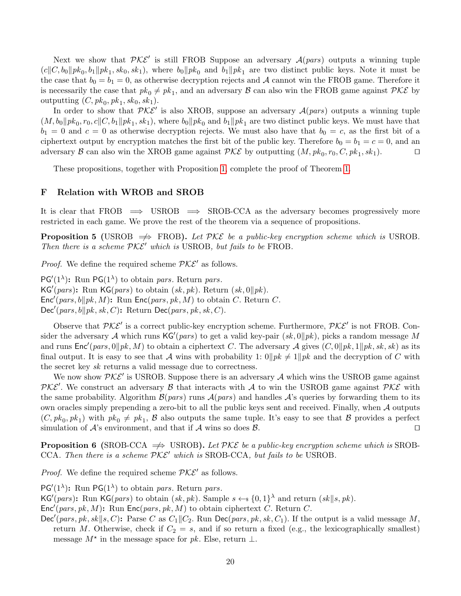Next we show that  $\mathcal{PKE}'$  is still FROB Suppose an adversary  $\mathcal{A}(pars)$  outputs a winning tuple  $(c||C, b_0||pk_0, b_1||pk_1, sk_0, sk_1)$ , where  $b_0||pk_0$  and  $b_1||pk_1$  are two distinct public keys. Note it must be the case that  $b_0 = b_1 = 0$ , as otherwise decryption rejects and A cannot win the FROB game. Therefore it is necessarily the case that  $pk_0 \neq pk_1$ , and an adversary  $\mathcal B$  can also win the FROB game against  $\mathcal {PKE}$  by outputting  $(C, pk_0, pk_1, sk_0, sk_1)$ .

In order to show that  $\mathcal{PKE}'$  is also XROB, suppose an adversary  $\mathcal{A}(pars)$  outputs a winning tuple  $(M, b_0 \| p k_0, r_0, c \| C, b_1 \| p k_1, sk_1)$ , where  $b_0 \| p k_0$  and  $b_1 \| p k_1$  are two distinct public keys. We must have that  $b_1 = 0$  and  $c = 0$  as otherwise decryption rejects. We must also have that  $b_0 = c$ , as the first bit of a ciphertext output by encryption matches the first bit of the public key. Therefore  $b_0 = b_1 = c = 0$ , and an adversary  $\mathcal B$  can also win the XROB game against  $\mathcal{PKE}$  by outputting  $(M, pk_0, r_0, C, pk_1, sk_1)$ .

These propositions, together with Proposition [1,](#page-6-5) complete the proof of Theorem [1.](#page-6-3)

#### <span id="page-19-0"></span>F Relation with WROB and SROB

It is clear that FROB  $\implies$  USROB  $\implies$  SROB-CCA as the adversary becomes progressively more restricted in each game. We prove the rest of the theorem via a sequence of propositions.

**Proposition 5** (USROB  $\Rightarrow$  FROB). Let PKE be a public-key encryption scheme which is USROB. Then there is a scheme  $\mathcal{PKE}'$  which is USROB, but fails to be FROB.

*Proof.* We define the required scheme  $\mathcal{PKE}'$  as follows.

 $PG'(1^{\lambda})$ : Run  $PG(1^{\lambda})$  to obtain pars. Return pars.  $\mathsf{KG}'(pars)$ : Run  $\mathsf{KG}(pars)$  to obtain  $(sk, pk)$ . Return  $(sk, 0|| pk)$ .  $\textsf{Enc}'(pars, b \| pk, M)$ : Run  $\textsf{Enc}(pars, pk, M)$  to obtain C. Return C.  $\mathsf{Dec}'(pars, b \| pk, sk, C)$ : Return Dec(pars, pk, sk, C).

Observe that  $\mathcal{PKE}'$  is a correct public-key encryption scheme. Furthermore,  $\mathcal{PKE}'$  is not FROB. Consider the adversary A which runs KG'(pars) to get a valid key-pair  $(sk, 0||pk)$ , picks a random message M and runs  $Enc'(pars, 0||pk, M)$  to obtain a ciphertext C. The adversary A gives  $(C, 0||pk, 1||pk, sk, sk)$  as its final output. It is easy to see that A wins with probability 1:  $0||pk \neq 1||pk$  and the decryption of C with the secret key sk returns a valid message due to correctness.

We now show  $\mathcal{PKE}'$  is USROB. Suppose there is an adversary  $\mathcal A$  which wins the USROB game against PKE'. We construct an adversary B that interacts with A to win the USROB game against PKE with the same probability. Algorithm  $\mathcal{B}(pars)$  runs  $\mathcal{A}(pars)$  and handles  $\mathcal{A}'s$  queries by forwarding them to its own oracles simply prepending a zero-bit to all the public keys sent and received. Finally, when  $\mathcal A$  outputs  $(C, pk_0, pk_1)$  with  $pk_0 \neq pk_1$ ,  $\beta$  also outputs the same tuple. It's easy to see that  $\beta$  provides a perfect simulation of  $\mathcal{A}$ 's environment, and that if  $\mathcal{A}$  wins so does  $\mathcal{B}$ .

**Proposition 6** (SROB-CCA  $\Rightarrow$  USROB). Let  $\mathcal{PKE}$  be a public-key encryption scheme which is SROB-CCA. Then there is a scheme  $\mathcal{PKE}'$  which is SROB-CCA, but fails to be USROB.

*Proof.* We define the required scheme  $\mathcal{PKE}'$  as follows.

 $PG'(1^{\lambda})$ : Run  $PG(1^{\lambda})$  to obtain pars. Return pars.

 $\mathsf{KG}'(pars)$ : Run  $\mathsf{KG}(pars)$  to obtain  $(sk, pk)$ . Sample  $s \leftarrow s \{0, 1\}^{\lambda}$  and return  $(sk \| s, pk)$ .

 $Enc'(pars, pk, M)$ : Run Enc(pars, pk, M) to obtain ciphertext C. Return C.

Dec'(pars, pk, sk||s, C): Parse C as  $C_1||C_2$ . Run Dec(pars, pk, sk, C<sub>1</sub>). If the output is a valid message M, return M. Otherwise, check if  $C_2 = s$ , and if so return a fixed (e.g., the lexicographically smallest) message  $M^*$  in the message space for pk. Else, return  $\perp$ .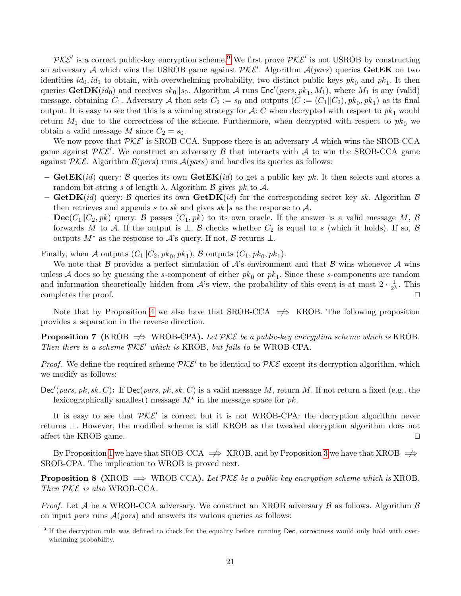PKE' is a correct public-key encryption scheme.<sup>[9](#page-20-1)</sup> We first prove PKE' is not USROB by constructing an adversary A which wins the USROB game against  $\mathcal{PKE}'$ . Algorithm  $\mathcal{A}(pars)$  queries GetEK on two identities  $id_0, id_1$  to obtain, with overwhelming probability, two distinct public keys  $pk_0$  and  $pk_1$ . It then queries  $\textbf{GetDK}(id_0)$  and receives  $sk_0 || s_0$ . Algorithm A runs  $\textsf{Enc}'(pars, pk_1, M_1)$ , where  $M_1$  is any (valid) message, obtaining  $C_1$ . Adversary A then sets  $C_2 := s_0$  and outputs  $(C := (C_1 || C_2), p k_0, p k_1)$  as its final output. It is easy to see that this is a winning strategy for A: C when decrypted with respect to  $pk_1$  would return  $M_1$  due to the correctness of the scheme. Furthermore, when decrypted with respect to  $pk_0$  we obtain a valid message M since  $C_2 = s_0$ .

We now prove that  $\mathcal{PKE}'$  is SROB-CCA. Suppose there is an adversary  $\mathcal A$  which wins the SROB-CCA game against  $\mathcal{PKE}'$ . We construct an adversary  $\mathcal B$  that interacts with  $\mathcal A$  to win the SROB-CCA game against  $\mathcal{PKE}$ . Algorithm  $\mathcal{B(pars)}$  runs  $\mathcal{A(pars)}$  and handles its queries as follows:

- GetEK(id) query: B queries its own GetEK(id) to get a public key pk. It then selects and stores a random bit-string s of length  $\lambda$ . Algorithm B gives pk to A.
- GetDK(id) query: B queries its own GetDK(id) for the corresponding secret key sk. Algorithm B then retrieves and appends s to sk and gives  $sk \, \| s \text{ as the response to } \mathcal{A}.$
- $-$  **Dec**( $C_1$ || $C_2$ ,  $pk$ ) query: B passes ( $C_1$ ,  $pk$ ) to its own oracle. If the answer is a valid message M, B forwards M to A. If the output is  $\perp$ , B checks whether  $C_2$  is equal to s (which it holds). If so, B outputs  $M^*$  as the response to  $\mathcal{A}$ 's query. If not,  $\mathcal{B}$  returns  $\bot$ .

Finally, when A outputs  $(C_1 \| C_2, pk_0, pk_1)$ , B outputs  $(C_1, pk_0, pk_1)$ .

We note that  $\beta$  provides a perfect simulation of  $\mathcal{A}$ 's environment and that  $\beta$  wins whenever  $\mathcal{A}$  wins unless A does so by guessing the s-component of either  $pk_0$  or  $pk_1$ . Since these s-components are random and information theoretically hidden from A's view, the probability of this event is at most  $2 \cdot \frac{1}{2}$  $\frac{1}{2^{\lambda}}$ . This completes the proof.  $\Box$ 

Note that by Proposition [4](#page-18-0) we also have that SROB-CCA  $\implies$  KROB. The following proposition provides a separation in the reverse direction.

**Proposition 7** (KROB  $\Rightarrow$  WROB-CPA). Let  $\mathcal{PKE}$  be a public-key encryption scheme which is KROB. Then there is a scheme  $\mathcal{PKE}'$  which is KROB, but fails to be WROB-CPA.

*Proof.* We define the required scheme  $\mathcal{PKE}'$  to be identical to  $\mathcal{PKE}$  except its decryption algorithm, which we modify as follows:

Dec'(pars, pk, sk, C): If Dec(pars, pk, sk, C) is a valid message M, return M. If not return a fixed (e.g., the lexicographically smallest) message  $M^*$  in the message space for  $pk$ .

It is easy to see that  $\mathcal{PKE}'$  is correct but it is not WROB-CPA: the decryption algorithm never returns ⊥. However, the modified scheme is still KROB as the tweaked decryption algorithm does not affect the KROB game.  $\square$ 

<span id="page-20-0"></span>By Proposition [1](#page-6-5) we have that SROB-CCA  $\implies$  XROB, and by Proposition [3](#page-18-1) we have that XROB  $\implies$ SROB-CPA. The implication to WROB is proved next.

**Proposition 8** (XROB  $\implies$  WROB-CCA). Let  $PKE$  be a public-key encryption scheme which is XROB. Then  $PKE$  is also WROB-CCA.

*Proof.* Let A be a WROB-CCA adversary. We construct an XROB adversary B as follows. Algorithm B on input *pars* runs  $A(pars)$  and answers its various queries as follows:

<span id="page-20-1"></span><sup>&</sup>lt;sup>9</sup> If the decryption rule was defined to check for the equality before running Dec, correctness would only hold with overwhelming probability.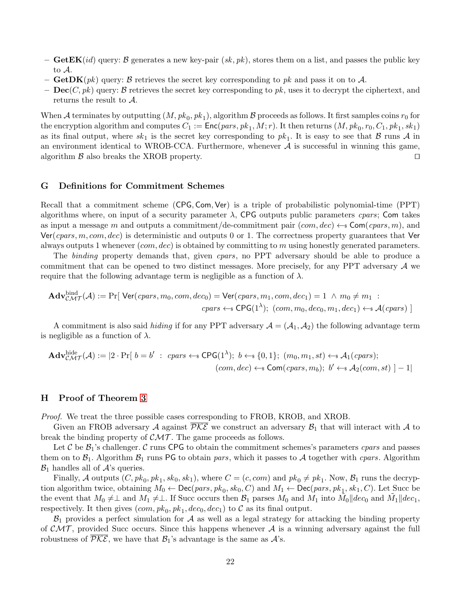- GetEK(id) query: B generates a new key-pair  $(sk, pk)$ , stores them on a list, and passes the public key to A.
- GetDK(*pk*) query: B retrieves the secret key corresponding to pk and pass it on to A.
- $-\text{Dec}(C, pk)$  query: B retrieves the secret key corresponding to pk, uses it to decrypt the ciphertext, and returns the result to A.

When A terminates by outputting  $(M, pk_0, pk_1)$ , algorithm B proceeds as follows. It first samples coins  $r_0$  for the encryption algorithm and computes  $C_1 := \mathsf{Enc}(\textit{pars}, \textit{pk}_1, M; r)$ . It then returns  $(M, \textit{pk}_0, r_0, C_1, \textit{pk}_1, s k_1)$ as its final output, where  $sk_1$  is the secret key corresponding to  $pk_1$ . It is easy to see that  $\mathcal{B}$  runs  $\mathcal{A}$  in an environment identical to WROB-CCA. Furthermore, whenever  $A$  is successful in winning this game, algorithm  $\beta$  also breaks the XROB property.

### <span id="page-21-0"></span>G Definitions for Commitment Schemes

Recall that a commitment scheme (CPG, Com, Ver) is a triple of probabilistic polynomial-time (PPT) algorithms where, on input of a security parameter  $\lambda$ , CPG outputs public parameters *cpars*; Com takes as input a message m and outputs a commitment/de-commitment pair  $(com, dec) \leftarrow$  Com(cpars, m), and  $Ver(cparse, m, com, dec)$  is deterministic and outputs 0 or 1. The correctness property guarantees that Ver always outputs 1 whenever  $(com, dec)$  is obtained by committing to m using honestly generated parameters.

The binding property demands that, given cpars, no PPT adversary should be able to produce a commitment that can be opened to two distinct messages. More precisely, for any PPT adversary  $\mathcal A$  we require that the following advantage term is negligible as a function of  $\lambda$ .

$$
\mathbf{Adv}_{\mathcal{CMT}}^{\text{bind}}(\mathcal{A}) := \Pr[\ \mathsf{Ver}(\mathit{cparse}, m_0, com, dec_0) = \mathsf{Ver}(\mathit{cparse}, m_1, com, dec_1) = 1 \ \land \ m_0 \neq m_1 \ : \newline \mathit{cparse} \ \leftarrow \mathsf{cPG}(1^{\lambda}); \ (\mathit{com}, m_0, dec_0, m_1, dec_1) \ \leftarrow \mathsf{s}\ \mathcal{A}(\mathit{cparse}) \ ]
$$

A commitment is also said *hiding* if for any PPT adversary  $A = (A_1, A_2)$  the following advantage term is negligible as a function of  $\lambda$ .

$$
\mathbf{Adv}_{\mathcal{CMT}}^{\text{hide}}(\mathcal{A}) := |2 \cdot \Pr[\ b = b' : \text{cparse} \leftarrow s \mathsf{CPG}(1^{\lambda}); \ b \leftarrow s \{0, 1\}; \ (m_0, m_1, st) \leftarrow s \mathcal{A}_1(\text{cparse}); \\ (com, dec) \leftarrow s \mathsf{Com}(\text{cparse}, m_b); \ b' \leftarrow s \mathcal{A}_2(\text{com}, st) |-1|
$$

## <span id="page-21-1"></span>H Proof of Theorem [3](#page-8-3)

Proof. We treat the three possible cases corresponding to FROB, KROB, and XROB.

Given an FROB adversary A against  $\overline{PKE}$  we construct an adversary  $\mathcal{B}_1$  that will interact with A to break the binding property of  $\mathcal{CMT}$ . The game proceeds as follows.

Let C be  $\mathcal{B}_1$ 's challenger. C runs CPG to obtain the commitment schemes's parameters *cpars* and passes them on to  $\mathcal{B}_1$ . Algorithm  $\mathcal{B}_1$  runs PG to obtain pars, which it passes to A together with cpars. Algorithm  $\mathcal{B}_1$  handles all of  $\mathcal{A}$ 's queries.

Finally, A outputs  $(C, pk_0, pk_1, sk_0, sk_1)$ , where  $C = (c, com)$  and  $pk_0 \neq pk_1$ . Now,  $B_1$  runs the decryption algorithm twice, obtaining  $M_0 \leftarrow \mathsf{Dec}(\textit{pars}, \textit{pk}_0, \textit{sk}_0, C)$  and  $M_1 \leftarrow \mathsf{Dec}(\textit{pars}, \textit{pk}_1, \textit{sk}_1, C)$ . Let Succ be the event that  $M_0 \neq \perp$  and  $M_1 \neq \perp$ . If Succ occurs then  $\mathcal{B}_1$  parses  $M_0$  and  $M_1$  into  $\tilde{M}_0$ ||dec<sub>0</sub> and  $\tilde{M}_1$ ||dec<sub>1</sub>, respectively. It then gives  $(com, pk_0, pk_1, dec_0, dec_1)$  to C as its final output.

 $\mathcal{B}_1$  provides a perfect simulation for A as well as a legal strategy for attacking the binding property of  $\mathcal{CMT}$ , provided Succ occurs. Since this happens whenever  $\mathcal A$  is a winning adversary against the full robustness of  $\overline{\mathcal{PKE}}$ , we have that  $\mathcal{B}_1$ 's advantage is the same as  $\mathcal{A}$ 's.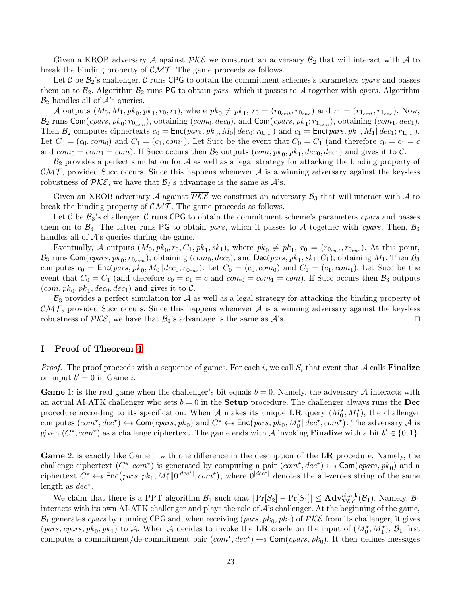Given a KROB adversary A against  $\overline{\mathcal{PKE}}$  we construct an adversary  $\mathcal{B}_2$  that will interact with A to break the binding property of  $\mathcal{CMT}$ . The game proceeds as follows.

Let C be  $\mathcal{B}_2$ 's challenger. C runs CPG to obtain the commitment schemes's parameters *cpars* and passes them on to  $\mathcal{B}_2$ . Algorithm  $\mathcal{B}_2$  runs PG to obtain pars, which it passes to A together with cpars. Algorithm  $\mathcal{B}_2$  handles all of  $\mathcal{A}$ 's queries.

A outputs  $(M_0, M_1, pk_0, pk_1, r_0, r_1)$ , where  $pk_0 \neq pk_1$ ,  $r_0 = (r_{0_{cmt}}, r_{0_{enc}})$  and  $r_1 = (r_{1_{cmt}}, r_{1_{enc}})$ . Now,  $B_2$  runs Com $(cparse, pk_0; r_{0_{com}})$ , obtaining  $(com_0, dec_0)$ , and Com $(cparse, pk_1; r_{1_{com}})$ , obtaining  $(com_1, dec_1)$ . Then  $\mathcal{B}_2$  computes ciphertexts  $c_0 = \text{Enc}(pars, pk_0, M_0 || dec_0; r_{0_{enc}})$  and  $c_1 = \text{Enc}(pars, pk_1, M_1 || dec_1; r_{1_{enc}})$ . Let  $C_0 = (c_0, com_0)$  and  $C_1 = (c_1, com_1)$ . Let Succ be the event that  $C_0 = C_1$  (and therefore  $c_0 = c_1 = c$ and  $com_0 = com_1 = com$ ). If Succ occurs then  $B_2$  outputs  $(com, pk_0, pk_1, dec_0, dec_1)$  and gives it to C.

 $B_2$  provides a perfect simulation for A as well as a legal strategy for attacking the binding property of  $\mathcal{CMT}$ , provided Succ occurs. Since this happens whenever A is a winning adversary against the key-less robustness of  $\overline{\mathcal{PKE}}$ , we have that  $\mathcal{B}_2$ 's advantage is the same as  $\mathcal{A}$ 's.

Given an XROB adversary A against  $\overline{\mathcal{PKE}}$  we construct an adversary  $\mathcal{B}_3$  that will interact with A to break the binding property of  $\mathcal{CMT}$ . The game proceeds as follows.

Let C be  $\mathcal{B}_3$ 's challenger. C runs CPG to obtain the commitment scheme's parameters *cpars* and passes them on to  $\mathcal{B}_3$ . The latter runs PG to obtain pars, which it passes to A together with cpars. Then,  $\mathcal{B}_3$ handles all of  $A$ 's queries during the game.

Eventually, A outputs  $(M_0, pk_0, r_0, C_1, pk_1, sk_1)$ , where  $pk_0 \neq pk_1$ ,  $r_0 = (r_{0cmt}, r_{0enc})$ . At this point,  $\mathcal{B}_3$  runs Com $(cparse, pk_0; r_{0_{com}})$ , obtaining  $(com_0, dec_0)$ , and  $\mathsf{Dec}(pars, pk_1, sk_1, C_1)$ , obtaining  $M_1$ . Then  $\mathcal{B}_3$ computes  $c_0 = \text{Enc}(\text{pars}, \text{pk}_0, M_0|| \text{dec}_0; r_{0_{enc}})$ . Let  $C_0 = (c_0, com_0)$  and  $C_1 = (c_1, com_1)$ . Let Succ be the event that  $C_0 = C_1$  (and therefore  $c_0 = c_1 = c$  and  $com_0 = com_1 = com$ ). If Succ occurs then  $\mathcal{B}_3$  outputs  $(com, pk_0, pk_1, dec_0, dec_1)$  and gives it to  $C$ .

 $B_3$  provides a perfect simulation for A as well as a legal strategy for attacking the binding property of  $\mathcal{CMT}$ , provided Succ occurs. Since this happens whenever  $\mathcal A$  is a winning adversary against the key-less robustness of  $\mathcal{PKE}$ , we have that  $\mathcal{B}_3$ 's advantage is the same as  $\mathcal{A}$ 's.

#### <span id="page-22-0"></span>I Proof of Theorem [4](#page-9-0)

*Proof.* The proof proceeds with a sequence of games. For each i, we call  $S_i$  that event that A calls **Finalize** on input  $b' = 0$  in Game *i*.

**Game** 1: is the real game when the challenger's bit equals  $b = 0$ . Namely, the adversary A interacts with an actual AI-ATK challenger who sets  $b = 0$  in the **Setup** procedure. The challenger always runs the **Dec** procedure according to its specification. When A makes its unique LR query  $(M_0^{\star}, M_1^{\star})$ , the challenger computes  $(com^{\star}, dec^{\star}) \leftarrow s \textsf{Com}(cpars, pk_0)$  and  $C^{\star} \leftarrow s \textsf{Enc}(pars, pk_0, M_0^{\star} || dec^{\star}, com^{\star})$ . The adversary A is given  $(C^*, com^*)$  as a challenge ciphertext. The game ends with A invoking **Finalize** with a bit  $b' \in \{0, 1\}$ .

Game 2: is exactly like Game 1 with one difference in the description of the LR procedure. Namely, the challenge ciphertext  $(C^*, com^*)$  is generated by computing a pair  $(com^*, dec^*) \leftarrow$  Com $(cparse, pk_0)$  and a ciphertext  $C^* \leftarrow \text{Enc}(\text{pars}, \text{pk}_1, \text{M}_1^{\star} || 0^{\text{idec}^{\star} |}, \text{com}^{\star}),$  where  $0^{\text{dec}^{\star} |}$  denotes the all-zeroes string of the same length as  $dec^*$ .

We claim that there is a PPT algorithm  $\mathcal{B}_1$  such that  $|\Pr[S_2] - \Pr[S_1]| \leq \mathbf{Adv}_{\mathcal{PKE}}^{\text{ai-atk}}(\mathcal{B}_1)$ . Namely,  $\mathcal{B}_1$ interacts with its own AI-ATK challenger and plays the role of  $A$ 's challenger. At the beginning of the game,  $B_1$  generates *cpars* by running CPG and, when receiving  $(pars, pk_0, pk_1)$  of  $\mathcal{PKE}$  from its challenger, it gives (pars, cpars, pk<sub>0</sub>, pk<sub>1</sub>) to A. When A decides to invoke the LR oracle on the input of  $(M_0^{\star}, M_1^{\star})$ ,  $\mathcal{B}_1$  first computes a commitment/de-commitment pair  $(com^*, dec^*) \leftarrow$  Com $(cparse, pk_0)$ . It then defines messages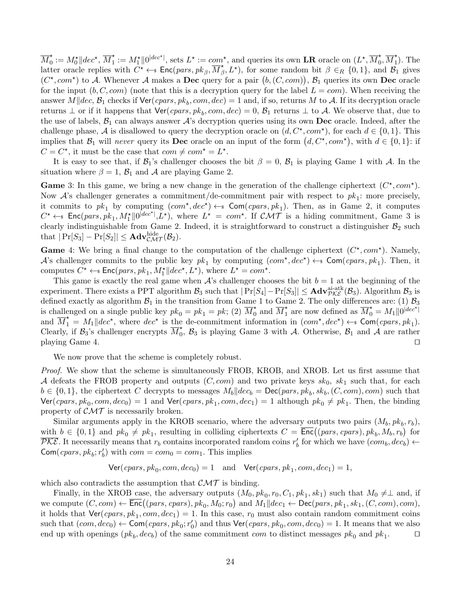$\overline{M}_0^*$  $\mathcal{L}_0^{\star} := M_0^{\star} || dec^{\star}, \overline{M}_1^{\star}$  $\mathcal{L}_1^* := M_1^* ||0^{|dec^*|}$ , sets  $L^* := com^*$ , and queries its own **LR** oracle on  $(L^*, \overline{M}_0^*)$  $_0^{\star},\overline{M}_1^{\star}$  $_1^{\star}$ ). The latter oracle replies with  $C^* \leftarrow \texttt{s}$  Enc(pars,  $pk_\beta$ ,  $\overline{M}_{\beta}^*$  $\sharp_{\beta}^{\star}, L^{\star}$ ), for some random bit  $\beta \in_R \{0,1\}$ , and  $\mathcal{B}_1$  gives  $(C^*, com^*)$  to A. Whenever A makes a Dec query for a pair  $(b, (C, com)), \mathcal{B}_1$  queries its own Dec oracle for the input  $(b, C, com)$  (note that this is a decryption query for the label  $L = com$ ). When receiving the answer  $M||dec, \mathcal{B}_1$  checks if  $\mathsf{Ver}(cparse, pk_b, com, dec) = 1$  and, if so, returns  $M$  to  $\mathcal{A}$ . If its decryption oracle returns  $\perp$  or if it happens that  $\textsf{Ver}(cparse, pk_b, com, dec) = 0, \mathcal{B}_1$  returns  $\perp$  to  $\mathcal{A}$ . We observe that, due to the use of labels,  $\mathcal{B}_1$  can always answer  $\mathcal{A}$ 's decryption queries using its own **Dec** oracle. Indeed, after the challenge phase, A is disallowed to query the decryption oracle on  $(d, C^*, com^*)$ , for each  $d \in \{0, 1\}$ . This implies that  $\mathcal{B}_1$  will never query its **Dec** oracle on an input of the form  $(d, C^*, com^*),$  with  $d \in \{0, 1\}$ : if  $C = C^*$ , it must be the case that  $com \neq com^* = L^*$ .

It is easy to see that, if  $\mathcal{B}_1$ 's challenger chooses the bit  $\beta = 0$ ,  $\mathcal{B}_1$  is playing Game 1 with A. In the situation where  $\beta = 1$ ,  $\mathcal{B}_1$  and A are playing Game 2.

Game 3: In this game, we bring a new change in the generation of the challenge ciphertext  $(C^*, com^*)$ . Now  $\mathcal{A}$ 's challenger generates a commitment/de-commitment pair with respect to  $pk_1$ : more precisely, it commits to  $pk_1$  by computing  $(com^* , dec^*) \leftarrow s$  Com $(cparse, pk_1)$ . Then, as in Game 2, it computes  $C^* \leftarrow \mathbb{R}$  Enc(pars,  $pk_1, M_1^*||0^{|dec^*|}$ ,  $L^*$ ), where  $L^* = com^*$ . If  $\mathcal{CMT}$  is a hiding commitment, Game 3 is clearly indistinguishable from Game 2. Indeed, it is straightforward to construct a distinguisher  $\mathcal{B}_2$  such that  $|\Pr[S_3] - \Pr[S_2]| \leq \mathbf{Adv}_{\mathcal{CMT}}^{\text{hide}}(\mathcal{B}_2).$ 

**Game** 4: We bring a final change to the computation of the challenge ciphertext  $(C^*, com^*)$ . Namely, A's challenger commits to the public key  $pk_1$  by computing  $(com^* , dec^*) \leftarrow s \textsf{Com}(cparse, pk_1)$ . Then, it computes  $C^* \leftarrow \text{Enc}(\text{pars}, \text{pk}_1, M_1^* || \text{dec}^*, L^*)$ , where  $L^* = \text{com}^*$ .

This game is exactly the real game when  $A$ 's challenger chooses the bit  $b = 1$  at the beginning of the experiment. There exists a PPT algorithm  $\mathcal{B}_3$  such that  $|\Pr[S_4]-\Pr[S_3]| \leq \mathbf{Adv}_{\mathcal{PKE}}^{\text{ai-atk}}(\mathcal{B}_3)$ . Algorithm  $\mathcal{B}_3$  is defined exactly as algorithm  $\mathcal{B}_1$  in the transition from Game 1 to Game 2. The only differences are: (1)  $\mathcal{B}_3$ is challenged on a single public key  $pk_0 = pk_1 = pk$ ; (2)  $\overline{M}_0^{\star}$  and  $\overline{M}_1^{\star}$  are now defined as  $\overline{M}_0^{\star} = M_1 ||0^{|dec^{\star}|}$ and  $\overline{M}_1^* = M_1 || dec^*$ , where  $dec^*$  is the de-commitment information in  $(com^* , dec^*) \leftarrow$  Com $(cparse, pk_1)$ . Clearly, if  $\mathcal{B}_3$ 's challenger encrypts  $\overline{M}_0^*$  $\delta$ ,  $\mathcal{B}_3$  is playing Game 3 with A. Otherwise,  $\mathcal{B}_1$  and A are rather playing Game 4.  $\Box$ 

We now prove that the scheme is completely robust.

Proof. We show that the scheme is simultaneously FROB, KROB, and XROB. Let us first assume that A defeats the FROB property and outputs  $(C, com)$  and two private keys  $sk_0$ ,  $sk_1$  such that, for each  $b \in \{0,1\}$ , the ciphertext C decrypts to messages  $M_b||dec_b = \text{Dec}(pars, pk_b, sk_b, (C, com), com)$  such that  $\textsf{Ver}(cparse, pk_0, com, dec_0) = 1$  and  $\textsf{Ver}(cparse, pk_1, com, dec_1) = 1$  although  $pk_0 \neq pk_1$ . Then, the binding property of  $\mathcal{CMT}$  is necessarily broken.

Similar arguments apply in the KROB scenario, where the adversary outputs two pairs  $(M_b, pk_b, r_b)$ , with  $b \in \{0,1\}$  and  $pk_0 \neq pk_1$ , resulting in colliding ciphertexts  $C = \overline{\text{Enc}}((pars, cpars), pk_b, M_b, r_b)$  for  $\overline{\mathcal{PKE}}$ . It necessarily means that  $r_b$  contains incorporated random coins  $r'_b$  for which we have  $(com_b, dec_b) \leftarrow$  $\text{Com}(cparse, pk_b; r'_b)$  with  $com = com_0 = com_1$ . This implies

$$
\mathsf{Ver}(cparse, pk_0, com, dec_0) = 1 \quad \text{and} \quad \mathsf{Ver}(cparse, pk_1, com, dec_1) = 1,
$$

which also contradicts the assumption that  $\mathcal{CMT}$  is binding.

Finally, in the XROB case, the adversary outputs  $(M_0, pk_0, r_0, C_1, pk_1, sk_1)$  such that  $M_0 \neq \perp$  and, if we compute  $(C, com) \leftarrow \overline{\mathsf{Enc}}((pars, cpars), pk_0, M_0; r_0)$  and  $M_1||dec_1 \leftarrow \mathsf{Dec}(pars, pk_1, sk_1, (C, com), com),$ it holds that  $\text{Ver}(cparse, pk_1, com, dec_1) = 1$ . In this case,  $r_0$  must also contain random commitment coins such that  $(com, dec_0) \leftarrow \textsf{Com}(cparse, pk_0; r'_0)$  and thus  $\textsf{Ver}(cparse, pk_0, com, dec_0) = 1$ . It means that we also end up with openings  $(pk_b, dec_b)$  of the same commitment *com* to distinct messages  $pk_0$  and  $pk_1$  $\Box$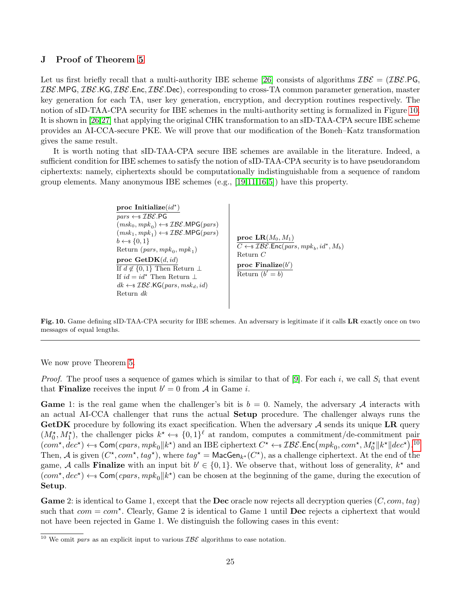### <span id="page-24-1"></span><span id="page-24-0"></span>J Proof of Theorem [5](#page-10-2)

Let us first briefly recall that a multi-authority IBE scheme [\[26\]](#page-13-10) consists of algorithms  $\mathcal{IBE} = (\mathcal{IBE} \cdot \mathsf{PG}, \mathcal{IBE})$ **IBE.MPG, IBE.KG, IBE.Enc, IBE.Dec)**, corresponding to cross-TA common parameter generation, master key generation for each TA, user key generation, encryption, and decryption routines respectively. The notion of sID-TAA-CPA security for IBE schemes in the multi-authority setting is formalized in Figure [10.](#page-24-2) It is shown in [\[26,](#page-13-10)[27\]](#page-13-11) that applying the original CHK transformation to an sID-TAA-CPA secure IBE scheme provides an AI-CCA-secure PKE. We will prove that our modification of the Boneh–Katz transformation gives the same result.

It is worth noting that sID-TAA-CPA secure IBE schemes are available in the literature. Indeed, a sufficient condition for IBE schemes to satisfy the notion of sID-TAA-CPA security is to have pseudorandom ciphertexts: namely, ciphertexts should be computationally indistinguishable from a sequence of random group elements. Many anonymous IBE schemes (e.g., [\[19,](#page-12-17)[11,](#page-12-11)[16,](#page-12-18)[5\]](#page-12-19)) have this property.



<span id="page-24-2"></span>Fig. 10. Game defining sID-TAA-CPA security for IBE schemes. An adversary is legitimate if it calls LR exactly once on two messages of equal lengths.

We now prove Theorem [5.](#page-10-2)

*Proof.* The proof uses a sequence of games which is similar to that of [\[9\]](#page-12-12). For each i, we call  $S_i$  that event that **Finalize** receives the input  $b' = 0$  from A in Game *i*.

**Game** 1: is the real game when the challenger's bit is  $b = 0$ . Namely, the adversary A interacts with an actual AI-CCA challenger that runs the actual Setup procedure. The challenger always runs the GetDK procedure by following its exact specification. When the adversary  $\mathcal A$  sends its unique LR query  $(M_0^*, M_1^*)$ , the challenger picks  $k^* \leftarrow \{0,1\}^{\ell}$  at random, computes a commitment/de-commitment pair  $(com^{\star}, dec^{\star}) \leftarrow s \textsf{Com}(cparse, mpk_0 || k^{\star})$  and an IBE ciphertext  $C^{\star} \leftarrow s \mathcal{IBE}$ . Enc $\left( mpk_0, com^{\star}, M_0^{\star} || k^{\star} || dec^{\star} \right)$ .<sup>[10](#page-24-3)</sup> Then, A is given  $(C^*, com^*, tag^*)$ , where  $tag^* = \text{MacGen}_{k^*}(C^*)$ , as a challenge ciphertext. At the end of the game, A calls **Finalize** with an input bit  $b' \in \{0, 1\}$ . We observe that, without loss of generality,  $k^*$  and  $(com^*, dec^*) \leftarrow \text{Com}(cparse, mpk_0 || k^*)$  can be chosen at the beginning of the game, during the execution of Setup.

**Game** 2: is identical to Game 1, except that the **Dec** oracle now rejects all decryption queries  $(C, com, tag)$ such that  $com = com^*$ . Clearly, Game 2 is identical to Game 1 until Dec rejects a ciphertext that would not have been rejected in Game 1. We distinguish the following cases in this event:

<span id="page-24-3"></span><sup>&</sup>lt;sup>10</sup> We omit pars as an explicit input to various  $\mathcal{IBE}$  algorithms to ease notation.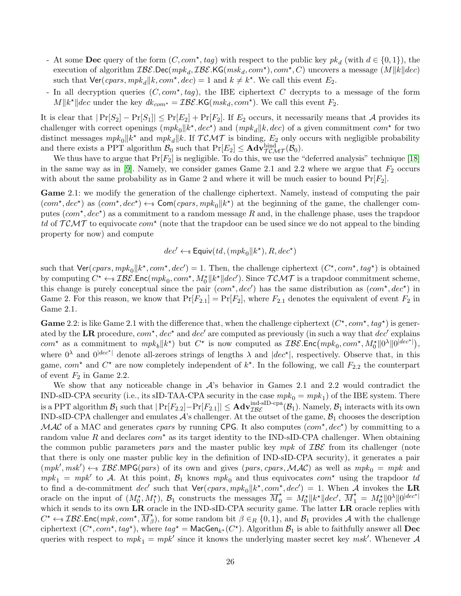- <span id="page-25-0"></span>- At some **Dec** query of the form  $(C, com^* , tag)$  with respect to the public key  $pk_d$  (with  $d \in \{0,1\}$ ), the execution of algorithm  $\mathcal{IBE}.\mathsf{Dec}(\mathit{mpk}_d,\mathcal{IBE}.\mathsf{KG}(\mathit{msk}_d,\mathit{com}^\star),\mathit{com}^\star,C)$  uncovers a message  $(M\|k\|dec)$ such that  $\text{Ver}(opars, mpk_d || k, com^* , dec) = 1$  and  $k \neq k^*$ . We call this event  $E_2$ .
- In all decryption queries  $(C, com^* , tag)$ , the IBE ciphertext C decrypts to a message of the form  $M||k^*||$ dec under the key  $dk_{com^*} = \mathcal{IBE}.\mathsf{KG}(msk_d, com^*).$  We call this event  $F_2$ .

It is clear that  $|\Pr[S_2] - \Pr[S_1]| \leq \Pr[E_2] + \Pr[F_2]$ . If  $E_2$  occurs, it necessarily means that A provides its challenger with correct openings  $(mpk_0||k^* , dec^*)$  and  $(mpk_d||k, dec)$  of a given commitment  $com^*$  for two distinct messages  $mpk_0||k^*$  and  $mpk_d||k$ . If  $TCMT$  is binding,  $E_2$  only occurs with negligible probability and there exists a PPT algorithm  $\mathcal{B}_0$  such that  $Pr[E_2] \leq \mathbf{Adv}_{\mathcal{TCMT}}^{\text{bind}}(\mathcal{B}_0)$ .

We thus have to argue that  $Pr[F_2]$  is negligible. To do this, we use the "deferred analysis" technique [\[18\]](#page-12-20) in the same way as in [\[9\]](#page-12-12). Namely, we consider games Game 2.1 and 2.2 where we argue that  $F_2$  occurs with about the same probability as in Game 2 and where it will be much easier to bound  $Pr[F_2]$ .

Game 2.1: we modify the generation of the challenge ciphertext. Namely, instead of computing the pair  $(com^*, dec^*)$  as  $(com^*, dec^*) \leftarrow$  Com $(cparse, mpk_0 || k^*)$  at the beginning of the game, the challenger computes  $(com<sup>*</sup>, dec<sup>*</sup>)$  as a commitment to a random message R and, in the challenge phase, uses the trapdoor td of  $TCMT$  to equivocate  $com<sup>*</sup>$  (note that the trapdoor can be used since we do not appeal to the binding property for now) and compute

$$
dec' \leftarrow \mathsf{s}\ \mathsf{Equiv}(td,(mpk_0\|k^\star),R,dec^\star)
$$

such that  $\text{Ver}(cparse, mpk_0 || k^\star, com^\star, dec') = 1$ . Then, the challenge ciphertext  $(C^\star, com^\star, tag^\star)$  is obtained by computing  $C^* \leftarrow \mathcal{B}\mathcal{E}.\mathsf{Enc}(mpk_0, com^*, M_0^*||k^*||dec').$  Since  $\mathcal{TCMT}$  is a trapdoor commitment scheme, this change is purely conceptual since the pair  $(com^* , dec')$  has the same distribution as  $(com^* , dec^*)$  in Game 2. For this reason, we know that  $Pr[F_{2,1}] = Pr[F_2]$ , where  $F_{2,1}$  denotes the equivalent of event  $F_2$  in Game 2.1.

Game 2.2: is like Game 2.1 with the difference that, when the challenge ciphertext  $(C^*, com^*, tag^*)$  is generated by the LR procedure,  $com^*$ ,  $dec^*$  and  $dec'$  are computed as previously (in such a way that  $dec'$  explains com<sup>\*</sup> as a commitment to  $mpk_b||k^{\star}$  but  $C^{\star}$  is now computed as  $\mathcal{IBE}.\mathsf{Enc}(mpk_0, com^{\star}, M_0^{\star}||0^{\lambda}||0^{|dec^{\star}|}),$ where  $0^{\lambda}$  and  $0^{|dec^*|}$  denote all-zeroes strings of lengths  $\lambda$  and  $|dec^*|$ , respectively. Observe that, in this game,  $com^*$  and  $C^*$  are now completely independent of  $k^*$ . In the following, we call  $F_{2,2}$  the counterpart of event  $F_2$  in Game 2.2.

We show that any noticeable change in  $\mathcal{A}$ 's behavior in Games 2.1 and 2.2 would contradict the IND-sID-CPA security (i.e., its sID-TAA-CPA security in the case  $mpk_0 = mpk_1$ ) of the IBE system. There is a PPT algorithm  $\mathcal{B}_1$  such that  $|\Pr[F_{2.2}]-\Pr[F_{2.1}]|\leq \mathbf{Adv}_{\mathcal{IBE}}^{\text{ind-sID-cpa}}(\mathcal{B}_1).$  Namely,  $\mathcal{B}_1$  interacts with its own IND-sID-CPA challenger and emulates  $A$ 's challenger. At the outset of the game,  $B_1$  chooses the description MAC of a MAC and generates cpars by running CPG. It also computes  $(com^{\star}, dec^{\star})$  by committing to a random value R and declares  $com^*$  as its target identity to the IND-sID-CPA challenger. When obtaining the common public parameters pars and the master public key mpk of  $\mathcal{LBE}$  from its challenger (note that there is only one master public key in the definition of IND-sID-CPA security), it generates a pair  $(mpk', msk') \leftarrow s \mathcal{B}\mathcal{E}.\mathsf{MPG}(pars)$  of its own and gives  $(pars, cpars, \mathcal{MAC})$  as well as  $mpk_0 = mpk$  and  $mpk_1 = mpk'$  to A. At this point,  $\mathcal{B}_1$  knows  $mpk_0$  and thus equivocates  $com^*$  using the trapdoor td to find a de-commitment dec' such that  $\text{Ver}(cparse, mpk_0 || k^*, com^*, dec') = 1$ . When A invokes the LR oracle on the input of  $(M_0^*, M_1^*)$ ,  $\mathcal{B}_1$  constructs the messages  $\overline{M}_0^* = M_0^* ||k^*|| \text{dec}$ ,  $\overline{M}_1^* = M_0^* ||0^{\lambda}|| 0^{\lambda}$ which it sends to its own LR oracle in the IND-sID-CPA security game. The latter LR oracle replies with  $C^{\star} \leftarrow$  *S*  $\mathcal{IBE}$  *.* Enc(*mpk*, *com*<sup>\*</sup>,  $\overline{M}_{\beta}^{\star}$  $\zeta_{\beta}$ , for some random bit  $\beta \in_R \{0,1\}$ , and  $\mathcal{B}_1$  provides A with the challenge ciphertext  $(C^*, com^*, tag^*)$ , where  $tag^* = \text{MacGen}_{k^*}(C^*)$ . Algorithm  $\mathcal{B}_1$  is able to faithfully answer all **Dec** queries with respect to  $mpk_1 = mpk'$  since it knows the underlying master secret key  $msk'$ . Whenever  $A$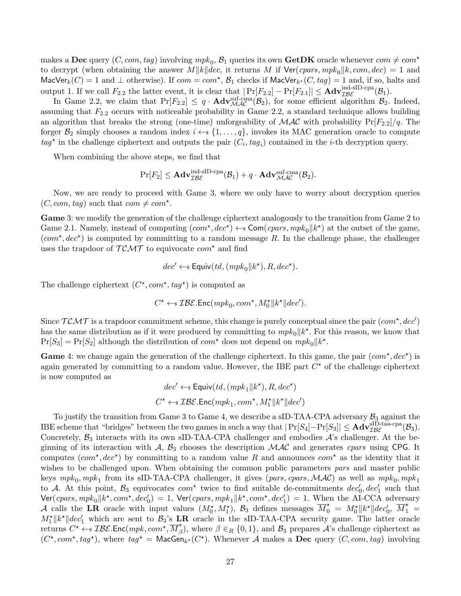makes a Dec query  $(C, com, tag)$  involving  $mpk_0$ ,  $\mathcal{B}_1$  queries its own  $\textbf{GetDK}$  oracle whenever  $com \neq com^{\star}$ to decrypt (when obtaining the answer  $M||k||dec$ , it returns M if  $\text{Ver}(cparse, mpk_0 || k, com, dec) = 1$  and MacVer<sub>k</sub>(C) = 1 and  $\perp$  otherwise). If  $com = com^*$ ,  $\mathcal{B}_1$  checks if MacVer<sub>k\*</sub>(C, tag) = 1 and, if so, halts and output 1. If we call  $F_{2,2}$  the latter event, it is clear that  $|\Pr[F_{2,2}] - \Pr[F_{2,1}]| \leq \mathbf{Adv}_{\mathcal{IBE}}^{\text{ind-sID-cpa}}(\mathcal{B}_1)$ .

In Game 2.2, we claim that  $Pr[F_{2,2}] \leq q \cdot \text{Adv}_{\mathcal{AAC}}^{\text{suf-cma}}(\mathcal{B}_2)$ , for some efficient algorithm  $\mathcal{B}_2$ . Indeed, assuming that  $F_{2,2}$  occurs with noticeable probability in Game 2.2, a standard technique allows building an algorithm that breaks the strong (one-time) unforgeability of  $\mathcal{MAC}$  with probability  $Pr[F_{2,2}]/q$ . The forger  $\mathcal{B}_2$  simply chooses a random index  $i \leftarrow s \{1, \ldots, q\}$ , invokes its MAC generation oracle to compute  $tag^*$  in the challenge ciphertext and outputs the pair  $(C_i, tag_i)$  contained in the *i*-th decryption query.

When combining the above steps, we find that

$$
\Pr[F_2] \leq \mathbf{Adv}_{\mathcal{IBE}}^{\text{ind-sID-cpa}}(\mathcal{B}_1) + q \cdot \mathbf{Adv}_{\mathcal{AAC}}^{\text{suf-cma}}(\mathcal{B}_2).
$$

Now, we are ready to proceed with Game 3, where we only have to worry about decryption queries  $(C, com, tag)$  such that  $com \neq com^*$ .

Game 3: we modify the generation of the challenge ciphertext analogously to the transition from Game 2 to Game 2.1. Namely, instead of computing  $(com^{\star}, dec^{\star}) \leftarrow s \text{Com}(cparse, mpk_0 || k^{\star})$  at the outset of the game,  $(com<sup>*</sup>, dec<sup>*</sup>)$  is computed by committing to a random message R. In the challenge phase, the challenger uses the trapdoor of  $TCMT$  to equivocate com<sup>\*</sup> and find

$$
dec' \leftarrow \mathsf{s} \; \mathsf{Equiv}(td, (mpk_0||k^*), R, dec^*).
$$

The challenge ciphertext  $(C^*, com^*, tag^*)$  is computed as

$$
C^{\star} \leftarrow_{\mathbb{S}} \mathcal{IBE}.\mathsf{Enc}(\mathit{mpk}_0, \mathit{com}^{\star}, M_0^{\star} || k^{\star} || \mathit{dec}').
$$

Since  $TCMT$  is a trapdoor commitment scheme, this change is purely conceptual since the pair  $(com<sup>*</sup>, dec')$ has the same distribution as if it were produced by committing to  $mpk_0||k^*$ . For this reason, we know that  $Pr[S_3] = Pr[S_2]$  although the distribution of  $com^*$  does not depend on  $mpk_0 || k^*$ .

**Game** 4: we change again the generation of the challenge ciphertext. In this game, the pair  $(com^{\star}, dec^{\star})$  is again generated by committing to a random value. However, the IBE part  $C^*$  of the challenge ciphertext is now computed as

$$
dec' \leftarrow \texttt{equiv}(td, (mpk_1 || k^*), R, dec^*)
$$
  

$$
C^* \leftarrow \texttt{s } \textit{LBE}.\textsf{Enc}(mpk_1, com^*, M_1^* || k^* || dec')
$$

To justify the transition from Game 3 to Game 4, we describe a sID-TAA-CPA adversary  $\mathcal{B}_3$  against the  $\text{IBE scheme that "bridges" between the two games in such a way that  $|\Pr[S_4] - \Pr[S_3]| \leq \text{Adv}_{\mathcal{IBE}}^{\text{SID-taa-cpa}}(\mathcal{B}_3)$ .$ Concretely,  $\mathcal{B}_3$  interacts with its own sID-TAA-CPA challenger and embodies  $\mathcal{A}$ 's challenger. At the beginning of its interaction with  $A$ ,  $B_3$  chooses the description  $MAC$  and generates *cpars* using CPG. It computes  $(com^{\star}, dec^{\star})$  by committing to a random value R and announces  $com^{\star}$  as the identity that it wishes to be challenged upon. When obtaining the common public parameters *pars* and master public keys  $mpk_0, mpk_1$  from its sID-TAA-CPA challenger, it gives  $(pars, cpars, MAC)$  as well as  $mpk_0, mpk_1$ to A. At this point,  $B_3$  equivocates  $com^*$  twice to find suitable de-commitments  $dec'_0, dec'_1$  such that  $\text{Ver}(cparse, mpk_0 || k^*, com^*, dec'_0) = 1, \text{ Ver}(cparse, mpk_1 || k^*, com^*, dec'_1) = 1.$  When the AI-CCA adversary A calls the LR oracle with input values  $(M_0^*, M_1^*)$ ,  $\mathcal{B}_3$  defines messages  $\overline{M}_0^* = M_0^* ||k^*|| \text{dec}_0^{\prime}, \overline{M}_1^* =$  $M_1^{\star}||k^{\star}||dec'_1$  which are sent to  $\mathcal{B}_3$ 's **LR** oracle in the sID-TAA-CPA security game. The latter oracle returns  $C^{\star} \leftarrow \mathcal{IBE}.\mathsf{Enc}(\mathit{mpk}, \mathit{com}^{\star}, \overline{M}_{\beta}^{\star})$  $\zeta_{\beta}$ , where  $\beta \in_R \{0,1\}$ , and  $\mathcal{B}_3$  prepares  $\mathcal{A}$ 's challenge ciphertext as  $(C^*, com^*, tag^*)$ , where  $tag^* = \text{MacGen}_{k^*}(C^*)$ . Whenever A makes a **Dec** query  $(C, com, tag)$  involving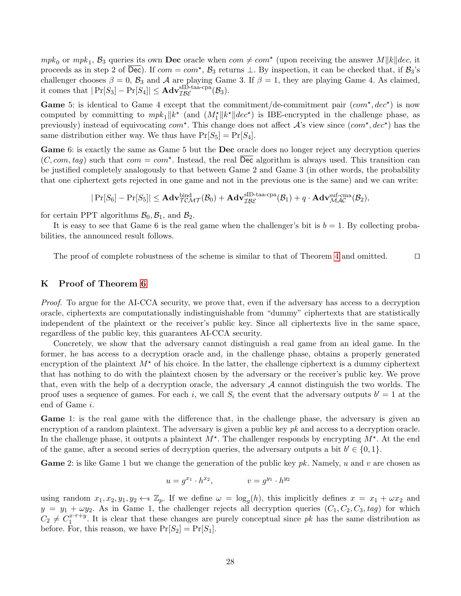$mpk_0$  or  $mpk_1$ ,  $B_3$  queries its own **Dec** oracle when  $com \neq com^*$  (upon receiving the answer  $M||k||dec$ , it proceeds as in step 2 of  $\overline{Dec}$ ). If  $com = com^*$ ,  $B_3$  returns  $\perp$ . By inspection, it can be checked that, if  $B_3$ 's challenger chooses  $\beta = 0$ ,  $\mathcal{B}_3$  and A are playing Game 3. If  $\beta = 1$ , they are playing Game 4. As claimed, it comes that  $|\Pr[S_3] - \Pr[S_4]| \leq \mathbf{Adv}_{\mathcal{IBE}}^{\text{sID-taa-cpa}}(\mathcal{B}_3).$ 

**Game** 5: is identical to Game 4 except that the commitment/de-commitment pair  $(com^{\star}, dec^{\star})$  is now computed by committing to  $mpk_1||k^*|$  (and  $(M_1^*||k^*||dec^*)$  is IBE-encrypted in the challenge phase, as previously) instead of equivocating  $com^*$ . This change does not affect  $\mathcal{A}$ 's view since  $(com^*, dec^*)$  has the same distribution either way. We thus have  $Pr[S_5] = Pr[S_4]$ .

Game 6: is exactly the same as Game 5 but the Dec oracle does no longer reject any decryption queries  $(C, com, tag)$  such that  $com = com^*$ . Instead, the real  $\overline{Dec}$  algorithm is always used. This transition can be justified completely analogously to that between Game 2 and Game 3 (in other words, the probability that one ciphertext gets rejected in one game and not in the previous one is the same) and we can write:

$$
|\Pr[S_6]-\Pr[S_5]|\leq \mathbf{Adv}^{\text{bind}}_{\mathcal{TCM}\mathcal{T}}(\mathcal{B}_0)+\mathbf{Adv}^{\text{sID-taa-cpa}}_{\mathcal{IBE}}(\mathcal{B}_1)+q\cdot \mathbf{Adv}^{\text{suf-cma}}_{\mathcal{MAC}}(\mathcal{B}_2),
$$

for certain PPT algorithms  $\mathcal{B}_0$ ,  $\mathcal{B}_1$ , and  $\mathcal{B}_2$ .

It is easy to see that Game 6 is the real game when the challenger's bit is  $b = 1$ . By collecting probabilities, the announced result follows.

The proof of complete robustness of the scheme is similar to that of Theorem [4](#page-9-0) and omitted.  $\Box$ 

### <span id="page-27-0"></span>K Proof of Theorem [6](#page-11-4)

Proof. To argue for the AI-CCA security, we prove that, even if the adversary has access to a decryption oracle, ciphertexts are computationally indistinguishable from "dummy" ciphertexts that are statistically independent of the plaintext or the receiver's public key. Since all ciphertexts live in the same space, regardless of the public key, this guarantees AI-CCA security.

Concretely, we show that the adversary cannot distinguish a real game from an ideal game. In the former, he has access to a decryption oracle and, in the challenge phase, obtains a properly generated encryption of the plaintext  $M^*$  of his choice. In the latter, the challenge ciphertext is a dummy ciphertext that has nothing to do with the plaintext chosen by the adversary or the receiver's public key. We prove that, even with the help of a decryption oracle, the adversary  $A$  cannot distinguish the two worlds. The proof uses a sequence of games. For each i, we call  $S_i$  the event that the adversary outputs  $b' = 1$  at the end of Game i.

Game 1: is the real game with the difference that, in the challenge phase, the adversary is given an encryption of a random plaintext. The adversary is given a public key  $pk$  and access to a decryption oracle. In the challenge phase, it outputs a plaintext  $M^*$ . The challenger responds by encrypting  $M^*$ . At the end of the game, after a second series of decryption queries, the adversary outputs a bit  $b' \in \{0, 1\}$ .

**Game** 2: is like Game 1 but we change the generation of the public key  $pk$ . Namely, u and v are chosen as

$$
u = g^{x_1} \cdot h^{x_2}, \qquad \qquad v = g^{y_1} \cdot h^{y_2}
$$

using random  $x_1, x_2, y_1, y_2 \leftarrow \mathbb{Z}_p$ . If we define  $\omega = \log_q(h)$ , this implicitly defines  $x = x_1 + \omega x_2$  and  $y = y_1 + \omega y_2$ . As in Game 1, the challenger rejects all decryption queries  $(C_1, C_2, C_3, tag)$  for which  $C_2 \neq C_1^{x \cdot \tau + y}$  $x^{\tau+\nu}$ . It is clear that these changes are purely conceptual since pk has the same distribution as before. For, this reason, we have  $Pr[S_2] = Pr[S_1]$ .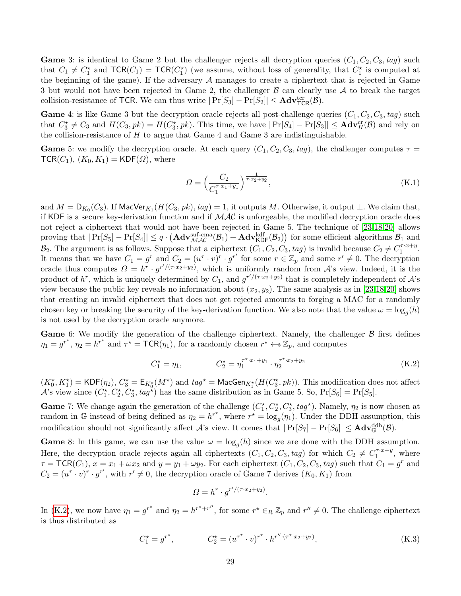<span id="page-28-0"></span>**Game** 3: is identical to Game 2 but the challenger rejects all decryption queries  $(C_1, C_2, C_3, tag)$  such that  $C_1 \neq C_1^*$  and  $TCR(C_1) = TCR(C_1^*)$  (we assume, without loss of generality, that  $C_1^*$  is computed at the beginning of the game). If the adversary  $A$  manages to create a ciphertext that is rejected in Game 3 but would not have been rejected in Game 2, the challenger  $\beta$  can clearly use  $\mathcal A$  to break the target collision-resistance of TCR. We can thus write  $|\Pr[S_3] - \Pr[S_2]| \leq \mathbf{Adv}_{\mathsf{TCR}}^{\text{ter}}(\mathcal{B})$ .

**Game** 4: is like Game 3 but the decryption oracle rejects all post-challenge queries  $(C_1, C_2, C_3, tag)$  such that  $C_3^* \neq C_3$  and  $H(C_3, pk) = H(C_3^*, pk)$ . This time, we have  $|\Pr[S_4] - \Pr[S_3]| \leq \mathbf{Adv}_{H}^{cr}(\mathcal{B})$  and rely on the collision-resistance of  $H$  to argue that Game 4 and Game 3 are indistinguishable.

**Game** 5: we modify the decryption oracle. At each query  $(C_1, C_2, C_3, tag)$ , the challenger computes  $\tau =$  $TCR(C_1), (K_0, K_1) = KDF(\Omega),$  where

$$
\Omega = \left(\frac{C_2}{C_1^{\tau \cdot x_1 + y_1}}\right)^{\frac{1}{\tau \cdot x_2 + y_2}},\tag{K.1}
$$

and  $M = \mathsf{D}_{K_0}(C_3)$ . If  $\mathsf{MacVer}_{K_1}(H(C_3, pk), tag) = 1$ , it outputs  $M$ . Otherwise, it output  $\bot$ . We claim that, if KDF is a secure key-derivation function and if  $MAC$  is unforgeable, the modified decryption oracle does not reject a ciphertext that would not have been rejected in Game 5. The technique of [\[23,](#page-13-4)[18,](#page-12-20)[20\]](#page-12-13) allows proving that  $|\Pr[S_5] - \Pr[S_4]| \le q \cdot (\mathbf{Adv}_{\mathcal{AAC}}^{\text{suf-cma}}(\mathcal{B}_1) + \mathbf{Adv}_{\mathsf{KDF}}^{\text{kdf}}(\mathcal{B}_2))$  for some efficient algorithms  $\mathcal{B}_1$  and  $\mathcal{B}_2$ . The argument is as follows. Suppose that a ciphertext  $(C_1, C_2, C_3, tag)$  is invalid because  $C_2 \neq C_1^{\tau \cdot x + y}$  $\frac{x+y}{1}$ . It means that we have  $C_1 = g^r$  and  $C_2 = (u^r \cdot v)^r \cdot g^{r'}$  for some  $r \in \mathbb{Z}_p$  and some  $r' \neq 0$ . The decryption oracle thus computes  $\Omega = h^r \cdot g^{r' / (\tau \cdot x_2 + y_2)}$ , which is uniformly random from A's view. Indeed, it is the product of  $h^r$ , which is uniquely determined by  $C_1$ , and  $g^{r'/(r \cdot x_2+y_2)}$  that is completely independent of  $\mathcal{A}$ 's view because the public key reveals no information about  $(x_2, y_2)$ . The same analysis as in [\[23](#page-13-4)[,18](#page-12-20)[,20\]](#page-12-13) shows that creating an invalid ciphertext that does not get rejected amounts to forging a MAC for a randomly chosen key or breaking the security of the key-derivation function. We also note that the value  $\omega = \log_g(h)$ is not used by the decryption oracle anymore.

Game 6: We modify the generation of the challenge ciphertext. Namely, the challenger  $\beta$  first defines  $\eta_1 = g^{r^*}, \eta_2 = h^{r^*}$  and  $\tau^* = \textsf{TCR}(\eta_1)$ , for a randomly chosen  $r^* \leftarrow \mathbb{Z}_p$ , and computes

<span id="page-28-1"></span>
$$
C_1^* = \eta_1, \qquad C_2^* = \eta_1^{\tau^* \cdot x_1 + y_1} \cdot \eta_2^{\tau^* \cdot x_2 + y_2} \tag{K.2}
$$

 $(K_0^{\star}, K_1^{\star}) = \text{KDF}(\eta_2), C_3^{\star} = \mathsf{E}_{K_0^{\star}}(M^{\star})$  and  $tag^{\star} = \text{MacGen}_{K_1^{\star}}(H(C_3^{\star}, pk)).$  This modification does not affect A's view since  $(C_1^*, C_2^*, C_3^*, tag^*)$  has the same distribution as in Game 5. So,  $Pr[S_6] = Pr[S_5]$ .

**Game** 7: We change again the generation of the challenge  $(C_1^*, C_2^*, C_3^*, tag^*)$ . Namely,  $\eta_2$  is now chosen at random in G instead of being defined as  $\eta_2 = h^{r^*}$ , where  $r^* = \log_g(\eta_1)$ . Under the DDH assumption, this modification should not significantly affect  $\mathcal{A}$ 's view. It comes that  $|\Pr[S_7] - \Pr[S_6]| \leq \mathbf{Adv}_{\mathbb{G}}^{\text{ddh}}(\mathcal{B}).$ 

**Game** 8: In this game, we can use the value  $\omega = \log_q(h)$  since we are done with the DDH assumption. Here, the decryption oracle rejects again all ciphertexts  $(C_1, C_2, C_3, tag)$  for which  $C_2 \neq C_1^{\tau_x+y}$  $1^{\tau \cdot x + y}$ , where  $\tau = \textsf{TCR}(C_1), x = x_1 + \omega x_2$  and  $y = y_1 + \omega y_2$ . For each ciphertext  $(C_1, C_2, C_3, tag)$  such that  $C_1 = g^r$  and  $C_2 = (u^{\tau} \cdot v)^{\tau} \cdot g^{r'}$ , with  $r' \neq 0$ , the decryption oracle of Game 7 derives  $(K_0, K_1)$  from

$$
\Omega = h^r \cdot g^{r' / (\tau \cdot x_2 + y_2)}.
$$

In [\(K.2\)](#page-28-1), we now have  $\eta_1 = g^{r^*}$  and  $\eta_2 = h^{r^*+r''}$ , for some  $r^* \in_R \mathbb{Z}_p$  and  $r'' \neq 0$ . The challenge ciphertext is thus distributed as

<span id="page-28-2"></span>
$$
C_1^* = g^{r^*}, \qquad C_2^* = (u^{r^*} \cdot v)^{r^*} \cdot h^{r'' \cdot (r^* \cdot x_2 + y_2)}, \qquad (K.3)
$$